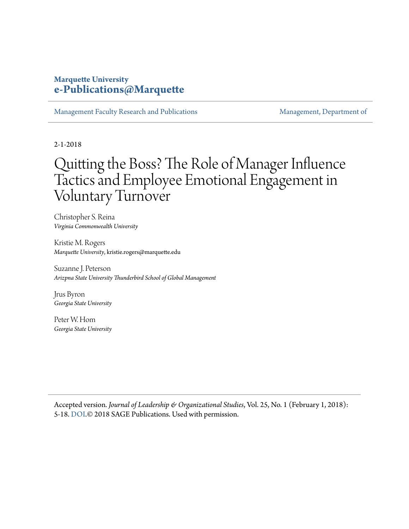## **Marquette University [e-Publications@Marquette](https://epublications.marquette.edu)**

[Management Faculty Research and Publications](https://epublications.marquette.edu/mgmt_fac) [Management, Department of](https://epublications.marquette.edu/mgmt)

2-1-2018

## Quitting the Boss? The Role of Manager Influence Tactics and Employee Emotional Engagement in Voluntary Turnover

Christopher S. Reina *Virginia Commonwealth University*

Kristie M. Rogers *Marquette University*, kristie.rogers@marquette.edu

Suzanne J. Peterson *Arizpna State University Thunderbird School of Global Management*

Jrus Byron *Georgia State University*

Peter W. Hom *Georgia State University*

Accepted version*. Journal of Leadership & Organizational Studies*, Vol. 25, No. 1 (February 1, 2018): 5-18. [DOI.](https://doi.org/10.1177/1548051817709007)© 2018 SAGE Publications. Used with permission.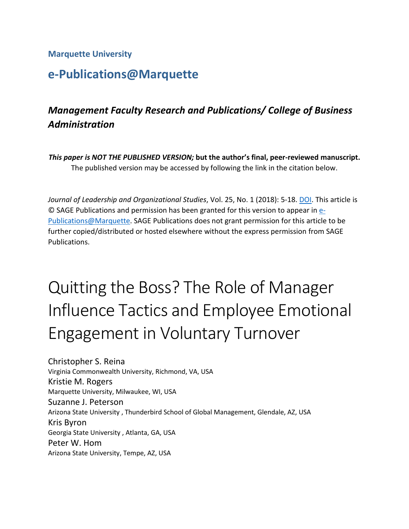#### **Marquette University**

## **e-Publications@Marquette**

## *Management Faculty Research and Publications/ College of Business Administration*

*This paper is NOT THE PUBLISHED VERSION;* **but the author's final, peer-reviewed manuscript.**  The published version may be accessed by following the link in the citation below.

Journal of Leadership and Organizational Studies, Vol. 25, No. 1 (2018): 5-18. **DOI**. This article is © SAGE Publications and permission has been granted for this version to appear in [e-](http://epublications.marquette.edu/)[Publications@Marquette.](http://epublications.marquette.edu/) SAGE Publications does not grant permission for this article to be further copied/distributed or hosted elsewhere without the express permission from SAGE Publications.

# Quitting the Boss? The Role of Manager Influence Tactics and Employee Emotional Engagement in Voluntary Turnover

[Christopher S. Reina](http://journals.sagepub.com/author/Reina%2C+Christopher+S) Virginia Commonwealth University, Richmond, VA, USA [Kristie M. Rogers](http://journals.sagepub.com/author/Rogers%2C+Kristie+M) Marquette University, Milwaukee, WI, USA [Suzanne J. Peterson](http://journals.sagepub.com/author/Peterson%2C+Suzanne+J) Arizona State University , Thunderbird School of Global Management, Glendale, AZ, USA [Kris Byron](http://journals.sagepub.com/author/Byron%2C+Kris) Georgia State University , Atlanta, GA, USA [Peter W. Hom](http://journals.sagepub.com/author/Hom%2C+Peter+W) Arizona State University, Tempe, AZ, USA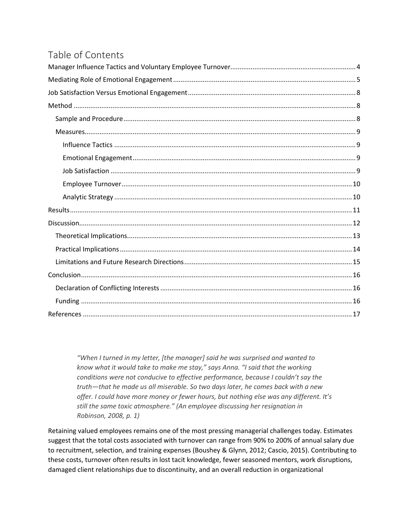## Table of Contents

*"When I turned in my letter, [the manager] said he was surprised and wanted to know what it would take to make me stay," says Anna. "I said that the working conditions were not conducive to effective performance, because I couldn't say the truth—that he made us all miserable. So two days later, he comes back with a new offer. I could have more money or fewer hours, but nothing else was any different. It's still the same toxic atmosphere." (An employee discussing her resignation in [Robinson, 2008,](http://journals.sagepub.com/doi/10.1177/1548051817709007) p. 1)*

Retaining valued employees remains one of the most pressing managerial challenges today. Estimates suggest that the total costs associated with turnover can range from 90% to 200% of annual salary due to recruitment, selection, and training expenses [\(Boushey & Glynn, 2012; Cascio, 2015\)](http://journals.sagepub.com/doi/10.1177/1548051817709007). Contributing to these costs, turnover often results in lost tacit knowledge, fewer seasoned mentors, work disruptions, damaged client relationships due to discontinuity, and an overall reduction in organizational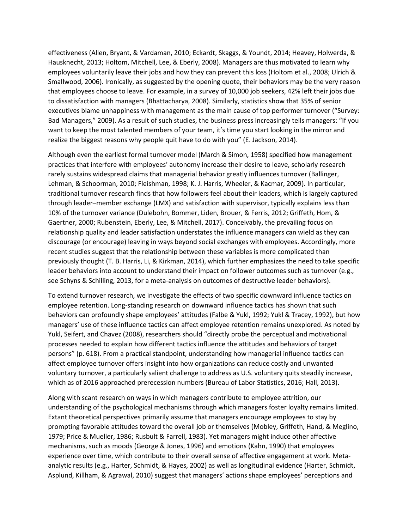effectiveness [\(Allen, Bryant, & Vardaman, 2010; Eckardt, Skaggs, & Youndt, 2014; Heavey, Holwerda, &](http://journals.sagepub.com/doi/10.1177/1548051817709007)  [Hausknecht, 2013; Holtom, Mitchell, Lee, & Eberly, 2008\)](http://journals.sagepub.com/doi/10.1177/1548051817709007). Managers are thus motivated to learn why employees voluntarily leave their jobs and how they can prevent this loss [\(Holtom et al., 2008; Ulrich &](http://journals.sagepub.com/doi/10.1177/1548051817709007)  [Smallwood, 2006\)](http://journals.sagepub.com/doi/10.1177/1548051817709007). Ironically, as suggested by the opening quote, their behaviors may be the very reason that employees choose to leave. For example, in a survey of 10,000 job seekers, 42% left their jobs due to dissatisfaction with managers [\(Bhattacharya, 2008\)](http://journals.sagepub.com/doi/10.1177/1548051817709007). Similarly, statistics show that 35% of senior executives blame unhappiness with management as the main cause of top performer turnover [\("Survey:](http://journals.sagepub.com/doi/10.1177/1548051817709007)  [Bad Managers," 2009\)](http://journals.sagepub.com/doi/10.1177/1548051817709007). As a result of such studies, the business press increasingly tells managers: "If you want to keep the most talented members of your team, it's time you start looking in the mirror and realize the biggest reasons why people quit have to do with you" [\(E. Jackson, 2014\)](http://journals.sagepub.com/doi/10.1177/1548051817709007).

Although even the earliest formal turnover model [\(March & Simon, 1958\)](http://journals.sagepub.com/doi/10.1177/1548051817709007) specified how management practices that interfere with employees' autonomy increase their desire to leave, scholarly research rarely sustains widespread claims that managerial behavior greatly influences turnover [\(Ballinger,](http://journals.sagepub.com/doi/10.1177/1548051817709007)  [Lehman, & Schoorman, 2010; Fleishman, 1998; K. J. Harris, Wheeler, & Kacmar, 2009\)](http://journals.sagepub.com/doi/10.1177/1548051817709007). In particular, traditional turnover research finds that how followers feel about their leaders, which is largely captured through leader–member exchange (LMX) and satisfaction with supervisor, typically explains less than 10% of the turnover variance [\(Dulebohn, Bommer, Liden, Brouer, & Ferris, 2012; Griffeth, Hom, &](http://journals.sagepub.com/doi/10.1177/1548051817709007)  [Gaertner, 2000; Rubenstein, Eberly, Lee, & Mitchell, 2017\)](http://journals.sagepub.com/doi/10.1177/1548051817709007). Conceivably, the prevailing focus on relationship quality and leader satisfaction understates the influence managers can wield as they can discourage (or encourage) leaving in ways beyond social exchanges with employees. Accordingly, more recent studies suggest that the relationship between these variables is more complicated than previously thought [\(T. B. Harris, Li, & Kirkman, 2014\)](http://journals.sagepub.com/doi/10.1177/1548051817709007), which further emphasizes the need to take specific leader behaviors into account to understand their impact on follower outcomes such as turnover (e.g., se[e Schyns & Schilling, 2013,](http://journals.sagepub.com/doi/10.1177/1548051817709007) for a meta-analysis on outcomes of destructive leader behaviors).

To extend turnover research, we investigate the effects of two specific downward influence tactics on employee retention. Long-standing research on downward influence tactics has shown that such behaviors can profoundly shape employees' attitudes [\(Falbe & Yukl, 1992; Yukl & Tracey, 1992\)](http://journals.sagepub.com/doi/10.1177/1548051817709007), but how managers' use of these influence tactics can affect employee retention remains unexplored. As noted by [Yukl, Seifert, and Chavez \(2008\),](http://journals.sagepub.com/doi/10.1177/1548051817709007) researchers should "directly probe the perceptual and motivational processes needed to explain how different tactics influence the attitudes and behaviors of target persons" (p. 618). From a practical standpoint, understanding how managerial influence tactics can affect employee turnover offers insight into how organizations can reduce costly and unwanted voluntary turnover, a particularly salient challenge to address as U.S. voluntary quits steadily increase, which as of 2016 approached prerecession numbers [\(Bureau of Labor Statistics, 2016; Hall, 2013\)](http://journals.sagepub.com/doi/10.1177/1548051817709007).

Along with scant research on ways in which managers contribute to employee attrition, our understanding of the psychological mechanisms through which managers foster loyalty remains limited. Extant theoretical perspectives primarily assume that managers encourage employees to stay by prompting favorable attitudes toward the overall job or themselves [\(Mobley, Griffeth, Hand, & Meglino,](http://journals.sagepub.com/doi/10.1177/1548051817709007)  [1979; Price & Mueller, 1986; Rusbult & Farrell, 1983\)](http://journals.sagepub.com/doi/10.1177/1548051817709007). Yet managers might induce other affective mechanisms, such as moods [\(George & Jones, 1996\)](http://journals.sagepub.com/doi/10.1177/1548051817709007) and emotions [\(Kahn, 1990\)](http://journals.sagepub.com/doi/10.1177/1548051817709007) that employees experience over time, which contribute to their overall sense of affective engagement at work. Metaanalytic results (e.g., [Harter, Schmidt, & Hayes, 2002\)](http://journals.sagepub.com/doi/10.1177/1548051817709007) as well as longitudinal evidence (Harter, Schmidt, Asplund, Killham, & Agrawal, 2010) suggest that managers' actions shape employees' perceptions and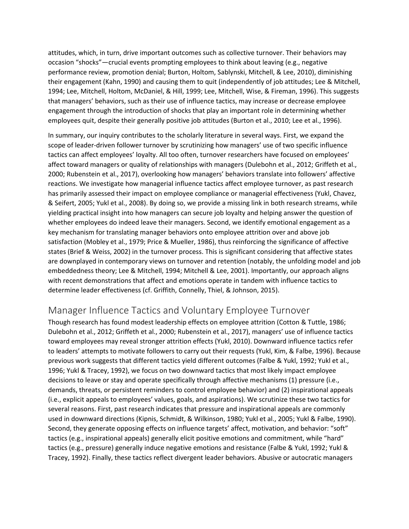attitudes, which, in turn, drive important outcomes such as collective turnover. Their behaviors may occasion "shocks"—crucial events prompting employees to think about leaving (e.g., negative performance review, promotion denial; [Burton, Holtom, Sablynski, Mitchell, & Lee, 2010\)](http://journals.sagepub.com/doi/10.1177/1548051817709007), diminishing their engagement [\(Kahn, 1990\)](http://journals.sagepub.com/doi/10.1177/1548051817709007) and causing them to quit (independently of job attitudes; [Lee & Mitchell,](http://journals.sagepub.com/doi/10.1177/1548051817709007)  [1994; Lee, Mitchell, Holtom, McDaniel, & Hill, 1999;](http://journals.sagepub.com/doi/10.1177/1548051817709007) Lee, Mitchell, Wise, & Fireman, 1996). This suggests that managers' behaviors, such as their use of influence tactics, may increase or decrease employee engagement through the introduction of shocks that play an important role in determining whether employees quit, despite their generally positive job attitudes [\(Burton et al., 2010; Lee et al., 1996\)](http://journals.sagepub.com/doi/10.1177/1548051817709007).

In summary, our inquiry contributes to the scholarly literature in several ways. First, we expand the scope of leader-driven follower turnover by scrutinizing how managers' use of two specific influence tactics can affect employees' loyalty. All too often, turnover researchers have focused on employees' affect toward managers or quality of relationships with managers [\(Dulebohn et al., 2012; Griffeth et al.,](http://journals.sagepub.com/doi/10.1177/1548051817709007)  [2000; Rubenstein et al., 2017\)](http://journals.sagepub.com/doi/10.1177/1548051817709007), overlooking how managers' behaviors translate into followers' affective reactions. We investigate how managerial influence tactics affect employee turnover, as past research has primarily assessed their impact on employee compliance or managerial effectiveness [\(Yukl, Chavez,](http://journals.sagepub.com/doi/10.1177/1548051817709007)  [& Seifert, 2005; Yukl et al., 2008\)](http://journals.sagepub.com/doi/10.1177/1548051817709007). By doing so, we provide a missing link in both research streams, while yielding practical insight into how managers can secure job loyalty and helping answer the question of whether employees do indeed leave their managers. Second, we identify emotional engagement as a key mechanism for translating manager behaviors onto employee attrition over and above job satisfaction [\(Mobley et al., 1979; Price & Mueller, 1986\)](http://journals.sagepub.com/doi/10.1177/1548051817709007), thus reinforcing the significance of affective states [\(Brief & Weiss, 2002\)](http://journals.sagepub.com/doi/10.1177/1548051817709007) in the turnover process. This is significant considering that affective states are downplayed in contemporary views on turnover and retention (notably, the unfolding model and job embeddedness theory[; Lee & Mitchell, 1994; Mitchell & Lee, 2001\)](http://journals.sagepub.com/doi/10.1177/1548051817709007). Importantly, our approach aligns with recent demonstrations that affect and emotions operate in tandem with influence tactics to determine leader effectiveness (cf. [Griffith, Connelly, Thiel, & Johnson, 2015\)](http://journals.sagepub.com/doi/10.1177/1548051817709007).

## <span id="page-4-0"></span>Manager Influence Tactics and Voluntary Employee Turnover

Though research has found modest leadership effects on employee attrition [\(Cotton & Tuttle, 1986;](http://journals.sagepub.com/doi/10.1177/1548051817709007) [Dulebohn et al., 2012; Griffeth et al., 2000; Rubenstein et al., 2017\)](http://journals.sagepub.com/doi/10.1177/1548051817709007), managers' use of influence tactics toward employees may reveal stronger attrition effects [\(Yukl, 2010\)](http://journals.sagepub.com/doi/10.1177/1548051817709007). Downward influence tactics refer to leaders' attempts to motivate followers to carry out their requests [\(Yukl, Kim, & Falbe, 1996\)](http://journals.sagepub.com/doi/10.1177/1548051817709007). Because previous work suggests that different tactics yield different outcomes [\(Falbe & Yukl, 1992; Yukl et al.,](http://journals.sagepub.com/doi/10.1177/1548051817709007)  [1996; Yukl & Tracey, 1992\)](http://journals.sagepub.com/doi/10.1177/1548051817709007), we focus on two downward tactics that most likely impact employee decisions to leave or stay and operate specifically through affective mechanisms (1) pressure (i.e., demands, threats, or persistent reminders to control employee behavior) and (2) inspirational appeals (i.e., explicit appeals to employees' values, goals, and aspirations). We scrutinize these two tactics for several reasons. First, past research indicates that pressure and inspirational appeals are commonly used in downward directions [\(Kipnis, Schmidt, & Wilkinson, 1980; Yukl et al., 2005; Yukl & Falbe, 1990\)](http://journals.sagepub.com/doi/10.1177/1548051817709007). Second, they generate opposing effects on influence targets' affect, motivation, and behavior: "soft" tactics (e.g., inspirational appeals) generally elicit positive emotions and commitment, while "hard" tactics (e.g., pressure) generally induce negative emotions and resistance [\(Falbe & Yukl, 1992; Yukl &](http://journals.sagepub.com/doi/10.1177/1548051817709007)  [Tracey, 1992\)](http://journals.sagepub.com/doi/10.1177/1548051817709007). Finally, these tactics reflect divergent leader behaviors. Abusive or autocratic managers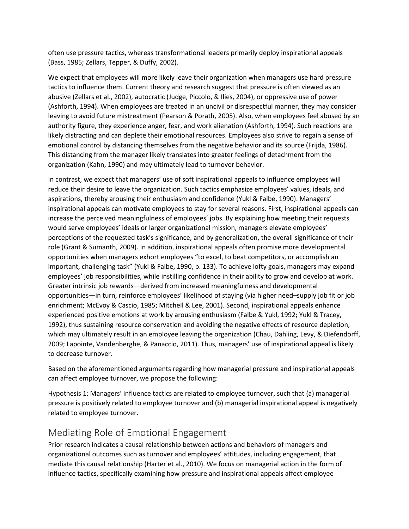often use pressure tactics, whereas transformational leaders primarily deploy inspirational appeals [\(Bass, 1985; Zellars, Tepper, & Duffy, 2002\)](http://journals.sagepub.com/doi/10.1177/1548051817709007).

We expect that employees will more likely leave their organization when managers use hard pressure tactics to influence them. Current theory and research suggest that pressure is often viewed as an abusive [\(Zellars et al., 2002\)](http://journals.sagepub.com/doi/10.1177/1548051817709007), autocratic [\(Judge, Piccolo, & Ilies, 2004\)](http://journals.sagepub.com/doi/10.1177/1548051817709007), or oppressive use of power [\(Ashforth, 1994\)](http://journals.sagepub.com/doi/10.1177/1548051817709007). When employees are treated in an uncivil or disrespectful manner, they may consider leaving to avoid future mistreatment [\(Pearson & Porath, 2005\)](http://journals.sagepub.com/doi/10.1177/1548051817709007). Also, when employees feel abused by an authority figure, they experience anger, fear, and work alienation [\(Ashforth, 1994\)](http://journals.sagepub.com/doi/10.1177/1548051817709007). Such reactions are likely distracting and can deplete their emotional resources. Employees also strive to regain a sense of emotional control by distancing themselves from the negative behavior and its source [\(Frijda, 1986\)](http://journals.sagepub.com/doi/10.1177/1548051817709007). This distancing from the manager likely translates into greater feelings of detachment from the organization [\(Kahn, 1990\)](http://journals.sagepub.com/doi/10.1177/1548051817709007) and may ultimately lead to turnover behavior.

In contrast, we expect that managers' use of soft inspirational appeals to influence employees will reduce their desire to leave the organization. Such tactics emphasize employees' values, ideals, and aspirations, thereby arousing their enthusiasm and confidence [\(Yukl & Falbe, 1990\)](http://journals.sagepub.com/doi/10.1177/1548051817709007). Managers' inspirational appeals can motivate employees to stay for several reasons. First, inspirational appeals can increase the perceived meaningfulness of employees' jobs. By explaining how meeting their requests would serve employees' ideals or larger organizational mission, managers elevate employees' perceptions of the requested task's significance, and by generalization, the overall significance of their role [\(Grant & Sumanth, 2009\)](http://journals.sagepub.com/doi/10.1177/1548051817709007). In addition, inspirational appeals often promise more developmental opportunities when managers exhort employees "to excel, to beat competitors, or accomplish an important, challenging task" [\(Yukl & Falbe, 1990,](http://journals.sagepub.com/doi/10.1177/1548051817709007) p. 133). To achieve lofty goals, managers may expand employees' job responsibilities, while instilling confidence in their ability to grow and develop at work. Greater intrinsic job rewards—derived from increased meaningfulness and developmental opportunities—in turn, reinforce employees' likelihood of staying (via higher need–supply job fit or job enrichment; [McEvoy & Cascio, 1985; Mitchell & Lee, 2001\)](http://journals.sagepub.com/doi/10.1177/1548051817709007). Second, inspirational appeals enhance experienced positive emotions at work by arousing enthusiasm [\(Falbe & Yukl, 1992; Yukl & Tracey,](http://journals.sagepub.com/doi/10.1177/1548051817709007)  [1992\)](http://journals.sagepub.com/doi/10.1177/1548051817709007), thus sustaining resource conservation and avoiding the negative effects of resource depletion, which may ultimately result in an employee leaving the organization (Chau, Dahling, Levy, & Diefendorff, [2009; Lapointe, Vandenberghe, & Panaccio, 2011\)](http://journals.sagepub.com/doi/10.1177/1548051817709007). Thus, managers' use of inspirational appeal is likely to decrease turnover.

Based on the aforementioned arguments regarding how managerial pressure and inspirational appeals can affect employee turnover, we propose the following:

Hypothesis 1: Managers' influence tactics are related to employee turnover, such that (a) managerial pressure is positively related to employee turnover and (b) managerial inspirational appeal is negatively related to employee turnover.

## <span id="page-5-0"></span>Mediating Role of Emotional Engagement

Prior research indicates a causal relationship between actions and behaviors of managers and organizational outcomes such as turnover and employees' attitudes, including engagement, that mediate this causal relationship [\(Harter et al., 2010\)](http://journals.sagepub.com/doi/10.1177/1548051817709007). We focus on managerial action in the form of influence tactics, specifically examining how pressure and inspirational appeals affect employee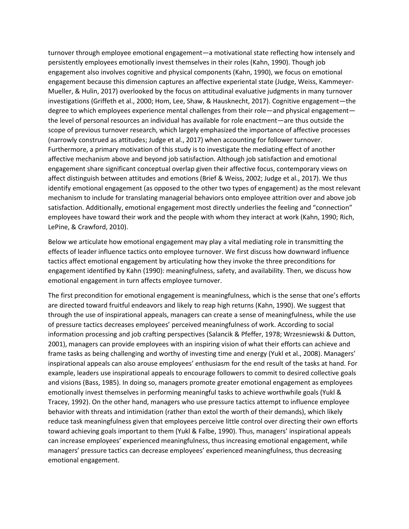turnover through employee emotional engagement—a motivational state reflecting how intensely and persistently employees emotionally invest themselves in their roles [\(Kahn, 1990\)](http://journals.sagepub.com/doi/10.1177/1548051817709007). Though job engagement also involves cognitive and physical components [\(Kahn, 1990\)](http://journals.sagepub.com/doi/10.1177/1548051817709007), we focus on emotional engagement because this dimension captures an affective experiental state [\(Judge, Weiss, Kammeyer-](http://journals.sagepub.com/doi/10.1177/1548051817709007)[Mueller, & Hulin, 2017\)](http://journals.sagepub.com/doi/10.1177/1548051817709007) overlooked by the focus on attitudinal evaluative judgments in many turnover investigations [\(Griffeth et al., 2000; Hom, Lee, Shaw, & Hausknecht, 2017\)](http://journals.sagepub.com/doi/10.1177/1548051817709007). Cognitive engagement—the degree to which employees experience mental challenges from their role—and physical engagement the level of personal resources an individual has available for role enactment—are thus outside the scope of previous turnover research, which largely emphasized the importance of affective processes (narrowly construed as attitudes; [Judge et al., 2017\)](http://journals.sagepub.com/doi/10.1177/1548051817709007) when accounting for follower turnover. Furthermore, a primary motivation of this study is to investigate the mediating effect of another affective mechanism above and beyond job satisfaction. Although job satisfaction and emotional engagement share significant conceptual overlap given their affective focus, contemporary views on affect distinguish between attitudes and emotions [\(Brief & Weiss, 2002; Judge et al., 2017\)](http://journals.sagepub.com/doi/10.1177/1548051817709007). We thus identify emotional engagement (as opposed to the other two types of engagement) as the most relevant mechanism to include for translating managerial behaviors onto employee attrition over and above job satisfaction. Additionally, emotional engagement most directly underlies the feeling and "connection" employees have toward their work and the people with whom they interact at work [\(Kahn, 1990; Rich,](http://journals.sagepub.com/doi/10.1177/1548051817709007)  [LePine, & Crawford, 2010\)](http://journals.sagepub.com/doi/10.1177/1548051817709007).

Below we articulate how emotional engagement may play a vital mediating role in transmitting the effects of leader influence tactics onto employee turnover. We first discuss how downward influence tactics affect emotional engagement by articulating how they invoke the three preconditions for engagement identified by [Kahn \(1990\):](http://journals.sagepub.com/doi/10.1177/1548051817709007) meaningfulness, safety, and availability. Then, we discuss how emotional engagement in turn affects employee turnover.

The first precondition for emotional engagement is meaningfulness, which is the sense that one's efforts are directed toward fruitful endeavors and likely to reap high returns [\(Kahn, 1990\)](http://journals.sagepub.com/doi/10.1177/1548051817709007). We suggest that through the use of inspirational appeals, managers can create a sense of meaningfulness, while the use of pressure tactics decreases employees' perceived meaningfulness of work. According to social information processing and job crafting perspectives [\(Salancik & Pfeffer, 1978; Wrzesniewski & Dutton,](http://journals.sagepub.com/doi/10.1177/1548051817709007)  [2001\)](http://journals.sagepub.com/doi/10.1177/1548051817709007), managers can provide employees with an inspiring vision of what their efforts can achieve and frame tasks as being challenging and worthy of investing time and energy [\(Yukl et al., 2008\)](http://journals.sagepub.com/doi/10.1177/1548051817709007). Managers' inspirational appeals can also arouse employees' enthusiasm for the end result of the tasks at hand. For example, leaders use inspirational appeals to encourage followers to commit to desired collective goals and visions [\(Bass, 1985\)](http://journals.sagepub.com/doi/10.1177/1548051817709007). In doing so, managers promote greater emotional engagement as employees emotionally invest themselves in performing meaningful tasks to achieve worthwhile goals [\(Yukl &](http://journals.sagepub.com/doi/10.1177/1548051817709007)  [Tracey, 1992\)](http://journals.sagepub.com/doi/10.1177/1548051817709007). On the other hand, managers who use pressure tactics attempt to influence employee behavior with threats and intimidation (rather than extol the worth of their demands), which likely reduce task meaningfulness given that employees perceive little control over directing their own efforts toward achieving goals important to them [\(Yukl & Falbe, 1990\)](http://journals.sagepub.com/doi/10.1177/1548051817709007). Thus, managers' inspirational appeals can increase employees' experienced meaningfulness, thus increasing emotional engagement, while managers' pressure tactics can decrease employees' experienced meaningfulness, thus decreasing emotional engagement.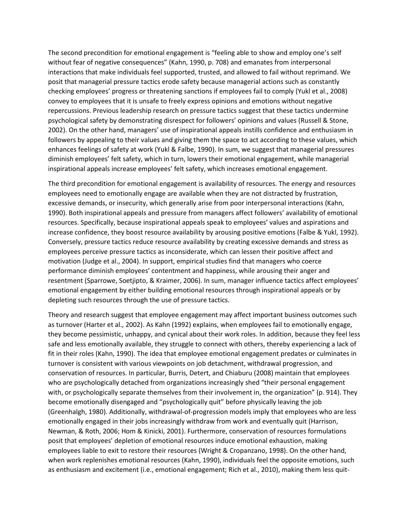The second precondition for emotional engagement is "feeling able to show and employ one's self without fear of negative consequences" [\(Kahn, 1990,](http://journals.sagepub.com/doi/10.1177/1548051817709007) p. 708) and emanates from interpersonal interactions that make individuals feel supported, trusted, and allowed to fail without reprimand. We posit that managerial pressure tactics erode safety because managerial actions such as constantly checking employees' progress or threatening sanctions if employees fail to comply [\(Yukl et al., 2008\)](http://journals.sagepub.com/doi/10.1177/1548051817709007) convey to employees that it is unsafe to freely express opinions and emotions without negative repercussions. Previous leadership research on pressure tactics suggest that these tactics undermine psychological safety by demonstrating disrespect for followers' opinions and values [\(Russell & Stone,](http://journals.sagepub.com/doi/10.1177/1548051817709007)  [2002\)](http://journals.sagepub.com/doi/10.1177/1548051817709007). On the other hand, managers' use of inspirational appeals instills confidence and enthusiasm in followers by appealing to their values and giving them the space to act according to these values, which enhances feelings of safety at work [\(Yukl & Falbe, 1990\)](http://journals.sagepub.com/doi/10.1177/1548051817709007). In sum, we suggest that managerial pressures diminish employees' felt safety, which in turn, lowers their emotional engagement, while managerial inspirational appeals increase employees' felt safety, which increases emotional engagement.

The third precondition for emotional engagement is availability of resources. The energy and resources employees need to emotionally engage are available when they are not distracted by frustration, excessive demands, or insecurity, which generally arise from poor interpersonal interactions [\(Kahn,](http://journals.sagepub.com/doi/10.1177/1548051817709007)  [1990\)](http://journals.sagepub.com/doi/10.1177/1548051817709007). Both inspirational appeals and pressure from managers affect followers' availability of emotional resources. Specifically, because inspirational appeals speak to employees' values and aspirations and increase confidence, they boost resource availability by arousing positive emotions [\(Falbe & Yukl, 1992\)](http://journals.sagepub.com/doi/10.1177/1548051817709007). Conversely, pressure tactics reduce resource availability by creating excessive demands and stress as employees perceive pressure tactics as inconsiderate, which can lessen their positive affect and motivation [\(Judge et al., 2004\)](http://journals.sagepub.com/doi/10.1177/1548051817709007). In support, empirical studies find that managers who coerce performance diminish employees' contentment and happiness, while arousing their anger and resentment [\(Sparrowe, Soetjipto, & Kraimer, 2006\)](http://journals.sagepub.com/doi/10.1177/1548051817709007). In sum, manager influence tactics affect employees' emotional engagement by either building emotional resources through inspirational appeals or by depleting such resources through the use of pressure tactics.

Theory and research suggest that employee engagement may affect important business outcomes such as turnover [\(Harter et al., 2002\)](http://journals.sagepub.com/doi/10.1177/1548051817709007). As [Kahn \(1992\)](http://journals.sagepub.com/doi/10.1177/1548051817709007) explains, when employees fail to emotionally engage, they become pessimistic, unhappy, and cynical about their work roles. In addition, because they feel less safe and less emotionally available, they struggle to connect with others, thereby experiencing a lack of fit in their roles [\(Kahn, 1990\)](http://journals.sagepub.com/doi/10.1177/1548051817709007). The idea that employee emotional engagement predates or culminates in turnover is consistent with various viewpoints on job detachment, withdrawal progression, and conservation of resources. In particular, [Burris, Detert, and Chiaburu \(2008\)](http://journals.sagepub.com/doi/10.1177/1548051817709007) maintain that employees who are psychologically detached from organizations increasingly shed "their personal engagement with, or psychologically separate themselves from their involvement in, the organization" (p. 914). They become emotionally disengaged and "psychologically quit" before physically leaving the job [\(Greenhalgh, 1980\)](http://journals.sagepub.com/doi/10.1177/1548051817709007). Additionally, withdrawal-of-progression models imply that employees who are less emotionally engaged in their jobs increasingly withdraw from work and eventually quit [\(Harrison,](http://journals.sagepub.com/doi/10.1177/1548051817709007)  [Newman, & Roth, 2006; Hom & Kinicki, 2001\)](http://journals.sagepub.com/doi/10.1177/1548051817709007). Furthermore, conservation of resources formulations posit that employees' depletion of emotional resources induce emotional exhaustion, making employees liable to exit to restore their resources [\(Wright & Cropanzano, 1998\)](http://journals.sagepub.com/doi/10.1177/1548051817709007). On the other hand, when work replenishes emotional resources [\(Kahn, 1990\)](http://journals.sagepub.com/doi/10.1177/1548051817709007), individuals feel the opposite emotions, such as enthusiasm and excitement (i.e., emotional engagement; [Rich et al., 2010\)](http://journals.sagepub.com/doi/10.1177/1548051817709007), making them less quit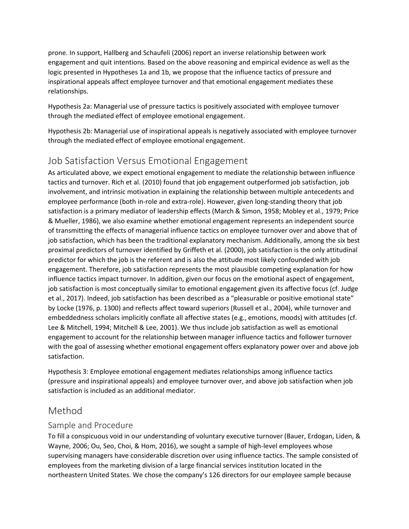prone. In support, [Hallberg and Schaufeli \(2006\)](http://journals.sagepub.com/doi/10.1177/1548051817709007) report an inverse relationship between work engagement and quit intentions. Based on the above reasoning and empirical evidence as well as the logic presented in Hypotheses 1a and 1b, we propose that the influence tactics of pressure and inspirational appeals affect employee turnover and that emotional engagement mediates these relationships.

Hypothesis 2a: Managerial use of pressure tactics is positively associated with employee turnover through the mediated effect of employee emotional engagement.

Hypothesis 2b: Managerial use of inspirational appeals is negatively associated with employee turnover through the mediated effect of employee emotional engagement.

## <span id="page-8-0"></span>Job Satisfaction Versus Emotional Engagement

As articulated above, we expect emotional engagement to mediate the relationship between influence tactics and turnover. [Rich et al. \(2010\)](http://journals.sagepub.com/doi/10.1177/1548051817709007) found that job engagement outperformed job satisfaction, job involvement, and intrinsic motivation in explaining the relationship between multiple antecedents and employee performance (both in-role and extra-role). However, given long-standing theory that job satisfaction is a primary mediator of leadership effects [\(March & Simon, 1958; Mobley et al., 1979; Price](http://journals.sagepub.com/doi/10.1177/1548051817709007)  [& Mueller, 1986\)](http://journals.sagepub.com/doi/10.1177/1548051817709007), we also examine whether emotional engagement represents an independent source of transmitting the effects of managerial influence tactics on employee turnover over and above that of job satisfaction, which has been the traditional explanatory mechanism. Additionally, among the six best proximal predictors of turnover identified by [Griffeth et al. \(2000\),](http://journals.sagepub.com/doi/10.1177/1548051817709007) job satisfaction is the only attitudinal predictor for which the job is the referent and is also the attitude most likely confounded with job engagement. Therefore, job satisfaction represents the most plausible competing explanation for how influence tactics impact turnover. In addition, given our focus on the emotional aspect of engagement, job satisfaction is most conceptually similar to emotional engagement given its affective focus (cf[. Judge](http://journals.sagepub.com/doi/10.1177/1548051817709007)  [et al., 2017\)](http://journals.sagepub.com/doi/10.1177/1548051817709007). Indeed, job satisfaction has been described as a "pleasurable or positive emotional state" by [Locke \(1976,](http://journals.sagepub.com/doi/10.1177/1548051817709007) p. 1300) and reflects affect toward superiors [\(Russell et al., 2004\)](http://journals.sagepub.com/doi/10.1177/1548051817709007), while turnover and embeddedness scholars implicitly conflate all affective states (e.g., emotions, moods) with attitudes (cf. [Lee & Mitchell, 1994; Mitchell & Lee, 2001\)](http://journals.sagepub.com/doi/10.1177/1548051817709007). We thus include job satisfaction as well as emotional engagement to account for the relationship between manager influence tactics and follower turnover with the goal of assessing whether emotional engagement offers explanatory power over and above job satisfaction.

Hypothesis 3: Employee emotional engagement mediates relationships among influence tactics (pressure and inspirational appeals) and employee turnover over, and above job satisfaction when job satisfaction is included as an additional mediator.

## <span id="page-8-1"></span>Method

## <span id="page-8-2"></span>Sample and Procedure

To fill a conspicuous void in our understanding of voluntary executive turnover [\(Bauer, Erdogan, Liden, &](http://journals.sagepub.com/doi/10.1177/1548051817709007)  [Wayne, 2006; Ou, Seo, Choi, & Hom, 2016\)](http://journals.sagepub.com/doi/10.1177/1548051817709007), we sought a sample of high-level employees whose supervising managers have considerable discretion over using influence tactics. The sample consisted of employees from the marketing division of a large financial services institution located in the northeastern United States. We chose the company's 126 directors for our employee sample because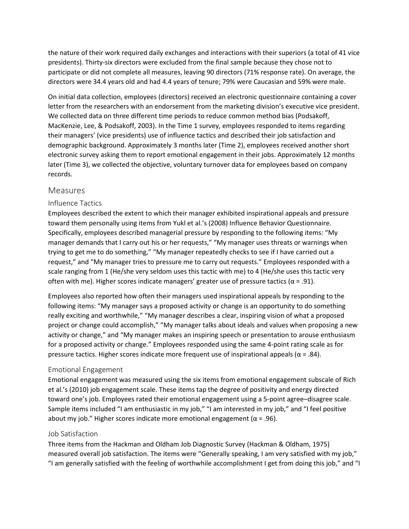the nature of their work required daily exchanges and interactions with their superiors (a total of 41 vice presidents). Thirty-six directors were excluded from the final sample because they chose not to participate or did not complete all measures, leaving 90 directors (71% response rate). On average, the directors were 34.4 years old and had 4.4 years of tenure; 79% were Caucasian and 59% were male.

On initial data collection, employees (directors) received an electronic questionnaire containing a cover letter from the researchers with an endorsement from the marketing division's executive vice president. We collected data on three different time periods to reduce common method bias [\(Podsakoff,](http://journals.sagepub.com/doi/10.1177/1548051817709007)  [MacKenzie, Lee, & Podsakoff, 2003\)](http://journals.sagepub.com/doi/10.1177/1548051817709007). In the Time 1 survey, employees responded to items regarding their managers' (vice presidents) use of influence tactics and described their job satisfaction and demographic background. Approximately 3 months later (Time 2), employees received another short electronic survey asking them to report emotional engagement in their jobs. Approximately 12 months later (Time 3), we collected the objective, voluntary turnover data for employees based on company records.

#### <span id="page-9-0"></span>Measures

#### <span id="page-9-1"></span>Influence Tactics

Employees described the extent to which their manager exhibited inspirational appeals and pressure toward them personally using items from [Yukl et al.'s \(2008\)](http://journals.sagepub.com/doi/10.1177/1548051817709007) Influence Behavior Questionnaire. Specifically, employees described managerial pressure by responding to the following items: "My manager demands that I carry out his or her requests," "My manager uses threats or warnings when trying to get me to do something," "My manager repeatedly checks to see if I have carried out a request," and "My manager tries to pressure me to carry out requests." Employees responded with a scale ranging from 1 (He/she very seldom uses this tactic with me) to 4 (He/she uses this tactic very often with me). Higher scores indicate managers' greater use of pressure tactics ( $α = .91$ ).

Employees also reported how often their managers used inspirational appeals by responding to the following items: "My manager says a proposed activity or change is an opportunity to do something really exciting and worthwhile," "My manager describes a clear, inspiring vision of what a proposed project or change could accomplish," "My manager talks about ideals and values when proposing a new activity or change," and "My manager makes an inspiring speech or presentation to arouse enthusiasm for a proposed activity or change." Employees responded using the same 4-point rating scale as for pressure tactics. Higher scores indicate more frequent use of inspirational appeals (α = .84).

#### <span id="page-9-2"></span>Emotional Engagement

Emotional engagement was measured using the six items from emotional engagement subscale o[f Rich](http://journals.sagepub.com/doi/10.1177/1548051817709007)  [et al.'s \(2010\)](http://journals.sagepub.com/doi/10.1177/1548051817709007) job engagement scale. These items tap the degree of positivity and energy directed toward one's job. Employees rated their emotional engagement using a 5-point agree–disagree scale. Sample items included "I am enthusiastic in my job," "I am interested in my job," and "I feel positive about my job." Higher scores indicate more emotional engagement ( $\alpha$  = .96).

#### <span id="page-9-3"></span>Job Satisfaction

Three items from the Hackman and Oldham Job Diagnostic Survey [\(Hackman & Oldham, 1975\)](http://journals.sagepub.com/doi/10.1177/1548051817709007) measured overall job satisfaction. The items were "Generally speaking, I am very satisfied with my job," "I am generally satisfied with the feeling of worthwhile accomplishment I get from doing this job," and "I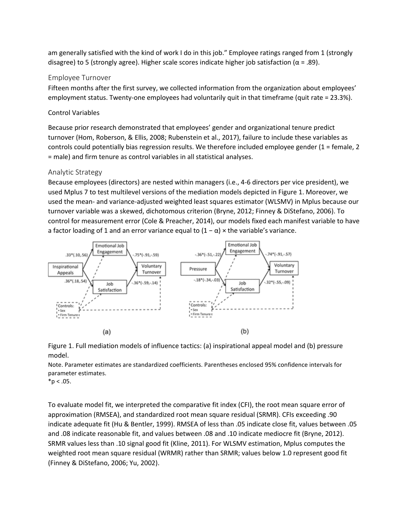am generally satisfied with the kind of work I do in this job." Employee ratings ranged from 1 (strongly disagree) to 5 (strongly agree). Higher scale scores indicate higher job satisfaction ( $\alpha$  = .89).

#### <span id="page-10-0"></span>Employee Turnover

Fifteen months after the first survey, we collected information from the organization about employees' employment status. Twenty-one employees had voluntarily quit in that timeframe (quit rate = 23.3%).

#### Control Variables

Because prior research demonstrated that employees' gender and organizational tenure predict turnover [\(Hom, Roberson, & Ellis, 2008; Rubenstein et al., 2017\)](http://journals.sagepub.com/doi/10.1177/1548051817709007), failure to include these variables as controls could potentially bias regression results. We therefore included employee gender (1 = female, 2 = male) and firm tenure as control variables in all statistical analyses.

#### <span id="page-10-1"></span>Analytic Strategy

Because employees (directors) are nested within managers (i.e., 4-6 directors per vice president), we used Mplus 7 to test multilevel versions of the mediation models depicted i[n Figure 1.](http://journals.sagepub.com/doi/10.1177/1548051817709007) Moreover, we used the mean- and variance-adjusted weighted least squares estimator (WLSMV) in Mplus because our turnover variable was a skewed, dichotomous criterion [\(Bryne, 2012; Finney & DiStefano, 2006\)](http://journals.sagepub.com/doi/10.1177/1548051817709007). To control for measurement error [\(Cole & Preacher, 2014\)](http://journals.sagepub.com/doi/10.1177/1548051817709007), our models fixed each manifest variable to have a factor loading of 1 and an error variance equal to  $(1 - \alpha) \times$  the variable's variance.



Figure 1. Full mediation models of influence tactics: (a) inspirational appeal model and (b) pressure model.

Note. Parameter estimates are standardized coefficients. Parentheses enclosed 95% confidence intervals for parameter estimates.

 $*p < .05$ .

To evaluate model fit, we interpreted the comparative fit index (CFI), the root mean square error of approximation (RMSEA), and standardized root mean square residual (SRMR). CFIs exceeding .90 indicate adequate fit [\(Hu & Bentler, 1999\)](http://journals.sagepub.com/doi/10.1177/1548051817709007). RMSEA of less than .05 indicate close fit, values between .05 and .08 indicate reasonable fit, and values between .08 and .10 indicate mediocre fit [\(Bryne, 2012\)](http://journals.sagepub.com/doi/10.1177/1548051817709007). SRMR values less than .10 signal good fit [\(Kline, 2011\)](http://journals.sagepub.com/doi/10.1177/1548051817709007). For WLSMV estimation, Mplus computes the weighted root mean square residual (WRMR) rather than SRMR; values below 1.0 represent good fit [\(Finney & DiStefano, 2006; Yu, 2002\)](http://journals.sagepub.com/doi/10.1177/1548051817709007).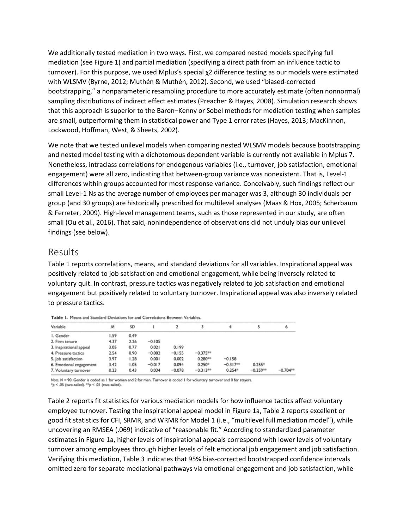We additionally tested mediation in two ways. First, we compared nested models specifying full mediation (see [Figure 1\)](http://journals.sagepub.com/doi/10.1177/1548051817709007) and partial mediation (specifying a direct path from an influence tactic to turnover). For this purpose, we used Mplus's special χ2 difference testing as our models were estimated with WLSMV [\(Byrne, 2012; Muthén & Muthén, 2012\)](http://journals.sagepub.com/doi/10.1177/1548051817709007). Second, we used "biased-corrected bootstrapping," a nonparameteric resampling procedure to more accurately estimate (often nonnormal) sampling distributions of indirect effect estimates [\(Preacher & Hayes, 2008\)](http://journals.sagepub.com/doi/10.1177/1548051817709007). Simulation research shows that this approach is superior to the Baron–Kenny or Sobel methods for mediation testing when samples are small, outperforming them in statistical power and Type 1 error rates [\(Hayes, 2013; MacKinnon,](http://journals.sagepub.com/doi/10.1177/1548051817709007)  [Lockwood, Hoffman, West, & Sheets, 2002\)](http://journals.sagepub.com/doi/10.1177/1548051817709007).

We note that we tested unilevel models when comparing nested WLSMV models because bootstrapping and nested model testing with a dichotomous dependent variable is currently not available in Mplus 7. Nonetheless, intraclass correlations for endogenous variables (i.e., turnover, job satisfaction, emotional engagement) were all zero, indicating that between-group variance was nonexistent. That is, Level-1 differences within groups accounted for most response variance. Conceivably, such findings reflect our small Level-1 Ns as the average number of employees per manager was 3, although 30 individuals per group (and 30 groups) are historically prescribed for multilevel analyses [\(Maas & Hox, 2005; Scherbaum](http://journals.sagepub.com/doi/10.1177/1548051817709007)  [& Ferreter, 2009\)](http://journals.sagepub.com/doi/10.1177/1548051817709007). High-level management teams, such as those represented in our study, are often small [\(Ou et al., 2016\)](http://journals.sagepub.com/doi/10.1177/1548051817709007). That said, nonindependence of observations did not unduly bias our unilevel findings (see below).

#### <span id="page-11-0"></span>Results

[Table 1](http://journals.sagepub.com/doi/10.1177/1548051817709007) reports correlations, means, and standard deviations for all variables. Inspirational appeal was positively related to job satisfaction and emotional engagement, while being inversely related to voluntary quit. In contrast, pressure tactics was negatively related to job satisfaction and emotional engagement but positively related to voluntary turnover. Inspirational appeal was also inversely related to pressure tactics.

| Variable                | м    | SD   |          |          |            |            |            |            |
|-------------------------|------|------|----------|----------|------------|------------|------------|------------|
| 1. Gender               | 1.59 | 0.49 |          |          |            |            |            |            |
| 2. Firm tenure          | 4.37 | 2.26 | $-0.105$ |          |            |            |            |            |
| 3. Inspirational appeal | 3.05 | 0.77 | 0.021    | 0.199    |            |            |            |            |
| 4. Pressure tactics     | 2.54 | 0.90 | $-0.002$ | $-0.155$ | $-0.375**$ |            |            |            |
| 5. Job satisfaction     | 3.97 | 1.28 | 0.001    | 0.002    | $0.280**$  | $-0.158$   |            |            |
| 6. Emotional engagement | 3.42 | 1.05 | $-0.017$ | 0.094    | $0.250*$   | $-0.317**$ | $0.255*$   |            |
| 7. Voluntary turnover   | 0.23 | 0.43 | 0.034    | $-0.078$ | $-0.313**$ | $0.254*$   | $-0.359**$ | $-0.704**$ |

Table 1. Means and Standard Deviations for and Correlations Between Variables.

Note. N = 90. Gender is coded as 1 for women and 2 for men. Turnover is coded 1 for voluntary turnover and 0 for stayers.  ${}^{\circ}p$  < .05 (two-tailed).  ${}^{\circ\circ}p$  < .01 (two-tailed).

[Table 2](http://journals.sagepub.com/doi/10.1177/1548051817709007) reports fit statistics for various mediation models for how influence tactics affect voluntary employee turnover. Testing the inspirational appeal model i[n Figure 1a, Table 2](http://journals.sagepub.com/doi/10.1177/1548051817709007) reports excellent or good fit statistics for CFI, SRMR, and WRMR for Model 1 (i.e., "multilevel full mediation model"), while uncovering an RMSEA (.069) indicative of "reasonable fit." According to standardized parameter estimates in [Figure](http://journals.sagepub.com/doi/10.1177/1548051817709007) 1a, higher levels of inspirational appeals correspond with lower levels of voluntary turnover among employees through higher levels of felt emotional job engagement and job satisfaction. Verifying this mediation, [Table 3](http://journals.sagepub.com/doi/10.1177/1548051817709007) indicates that 95% bias-corrected bootstrapped confidence intervals omitted zero for separate mediational pathways via emotional engagement and job satisfaction, while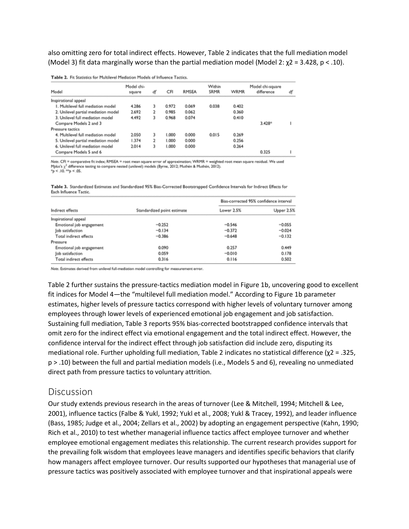also omitting zero for total indirect effects. However[, Table 2](http://journals.sagepub.com/doi/10.1177/1548051817709007) indicates that the full mediation model (Model 3) fit data marginally worse than the partial mediation model (Model 2:  $\chi$ 2 = 3.428, p < .10).

|  |  |  | Table 2. Fit Statistics for Multilevel Mediation Models of Influence Tactics. |
|--|--|--|-------------------------------------------------------------------------------|
|--|--|--|-------------------------------------------------------------------------------|

| Model                               | Model chi-<br>souare |   | CFI   | <b>RMSEA</b> | Within<br>SRMR | <b>WRMR</b> | Model chi-square<br>difference | df |
|-------------------------------------|----------------------|---|-------|--------------|----------------|-------------|--------------------------------|----|
| Inspirational appeal                |                      |   |       |              |                |             |                                |    |
| 1. Multilevel full mediation model  | 4.286                | 3 | 0.972 | 0.069        | 0.038          | 0.402       |                                |    |
| 2. Unilevel partial mediation model | 2.692                | 2 | 0.985 | 0.062        |                | 0.360       |                                |    |
| 3. Unilevel full mediation model    | 4.492                | 3 | 0.968 | 0.074        |                | 0,410       |                                |    |
| Compare Models 2 and 3              |                      |   |       |              |                |             | $3.428*$                       |    |
| Pressure tactics                    |                      |   |       |              |                |             |                                |    |
| 4. Multilevel full mediation model  | 2.050                | 3 | 1.000 | 0.000        | 0.015          | 0.269       |                                |    |
| 5. Unilevel partial mediation model | 1.374                | 2 | 1.000 | 0.000        |                | 0.256       |                                |    |
| 6. Unilevel full mediation model    | 2.014                |   | 1.000 | 0.000        |                | 0.264       |                                |    |
| Compare Models 5 and 6              |                      |   |       |              |                |             | 0.325                          |    |

Note. CFI = comparative fit index; RMSEA = root mean square error of approximation; WRMR = weighted root mean square residual. We used Mplus's  $\chi^2$  difference testing to compare nested (unilevel) models (Byrne, 2012; Muthén & Muthén, 2012).<br>"p < .10. \*\*p < .05.

Table 3. Standardized Estimates and Standardized 95% Bias-Corrected Bootstrapped Confidence Intervals for Indirect Effects for Each Influence Tactic.

|                          |                             | Bias-corrected 95% confidence interval |            |  |
|--------------------------|-----------------------------|----------------------------------------|------------|--|
| Indirect effects         | Standardized point estimate | Lower 2.5%                             | Upper 2.5% |  |
| Inspirational appeal     |                             |                                        |            |  |
| Emotional job engagement | $-0.252$                    | $-0.546$                               | $-0.055$   |  |
| Job satisfaction         | $-0.134$                    | $-0.372$                               | $-0.024$   |  |
| Total indirect effects   | $-0.386$                    | $-0.648$                               | $-0.132$   |  |
| Pressure                 |                             |                                        |            |  |
| Emotional job engagement | 0.090                       | 0.257                                  | 0.449      |  |
| Job satisfaction         | 0.059                       | $-0.010$                               | 0.178      |  |
| Total indirect effects   | 0.316                       | 0.116                                  | 0.502      |  |

Note. Estimates derived from unilevel full-mediation model controlling for measurement error.

[Table 2](http://journals.sagepub.com/doi/10.1177/1548051817709007) further sustains the pressure-tactics mediation model in [Figure 1b,](http://journals.sagepub.com/doi/10.1177/1548051817709007) uncovering good to excellent fit indices for Model 4—the "multilevel full mediation model." According to [Figure 1b](http://journals.sagepub.com/doi/10.1177/1548051817709007) parameter estimates, higher levels of pressure tactics correspond with higher levels of voluntary turnover among employees through lower levels of experienced emotional job engagement and job satisfaction. Sustaining full mediation, [Table 3](http://journals.sagepub.com/doi/10.1177/1548051817709007) reports 95% bias-corrected bootstrapped confidence intervals that omit zero for the indirect effect via emotional engagement and the total indirect effect. However, the confidence interval for the indirect effect through job satisfaction did include zero, disputing its mediational role. Further upholding full mediation[, Table 2](http://journals.sagepub.com/doi/10.1177/1548051817709007) indicates no statistical difference (χ2 = .325, p > .10) between the full and partial mediation models (i.e., Models 5 and 6), revealing no unmediated direct path from pressure tactics to voluntary attrition.

#### <span id="page-12-0"></span>Discussion

Our study extends previous research in the areas of turnover [\(Lee & Mitchell, 1994; Mitchell & Lee,](http://journals.sagepub.com/doi/10.1177/1548051817709007)  [2001\)](http://journals.sagepub.com/doi/10.1177/1548051817709007), influence tactics [\(Falbe & Yukl, 1992; Yukl et al., 2008; Yukl & Tracey, 1992\)](http://journals.sagepub.com/doi/10.1177/1548051817709007), and leader influence [\(Bass, 1985; Judge et al., 2004; Zellars et al., 2002\)](http://journals.sagepub.com/doi/10.1177/1548051817709007) by adopting an engagement perspective [\(Kahn, 1990;](http://journals.sagepub.com/doi/10.1177/1548051817709007) [Rich et al., 2010\)](http://journals.sagepub.com/doi/10.1177/1548051817709007) to test whether managerial influence tactics affect employee turnover and whether employee emotional engagement mediates this relationship. The current research provides support for the prevailing folk wisdom that employees leave managers and identifies specific behaviors that clarify how managers affect employee turnover. Our results supported our hypotheses that managerial use of pressure tactics was positively associated with employee turnover and that inspirational appeals were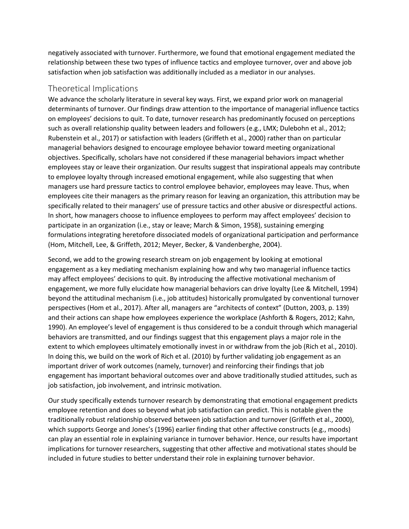negatively associated with turnover. Furthermore, we found that emotional engagement mediated the relationship between these two types of influence tactics and employee turnover, over and above job satisfaction when job satisfaction was additionally included as a mediator in our analyses.

#### <span id="page-13-0"></span>Theoretical Implications

We advance the scholarly literature in several key ways. First, we expand prior work on managerial determinants of turnover. Our findings draw attention to the importance of managerial influence tactics on employees' decisions to quit. To date, turnover research has predominantly focused on perceptions such as overall relationship quality between leaders and followers (e.g., LMX; [Dulebohn et al., 2012;](http://journals.sagepub.com/doi/10.1177/1548051817709007) [Rubenstein et al., 2017\)](http://journals.sagepub.com/doi/10.1177/1548051817709007) or satisfaction with leaders [\(Griffeth et al., 2000\)](http://journals.sagepub.com/doi/10.1177/1548051817709007) rather than on particular managerial behaviors designed to encourage employee behavior toward meeting organizational objectives. Specifically, scholars have not considered if these managerial behaviors impact whether employees stay or leave their organization. Our results suggest that inspirational appeals may contribute to employee loyalty through increased emotional engagement, while also suggesting that when managers use hard pressure tactics to control employee behavior, employees may leave. Thus, when employees cite their managers as the primary reason for leaving an organization, this attribution may be specifically related to their managers' use of pressure tactics and other abusive or disrespectful actions. In short, how managers choose to influence employees to perform may affect employees' decision to participate in an organization (i.e., stay or leave[; March & Simon, 1958\)](http://journals.sagepub.com/doi/10.1177/1548051817709007), sustaining emerging formulations integrating heretofore dissociated models of organizational participation and performance [\(Hom, Mitchell, Lee, & Griffeth, 2012; Meyer, Becker, & Vandenberghe, 2004\)](http://journals.sagepub.com/doi/10.1177/1548051817709007).

Second, we add to the growing research stream on job engagement by looking at emotional engagement as a key mediating mechanism explaining how and why two managerial influence tactics may affect employees' decisions to quit. By introducing the affective motivational mechanism of engagement, we more fully elucidate how managerial behaviors can drive loyalty [\(Lee & Mitchell, 1994\)](http://journals.sagepub.com/doi/10.1177/1548051817709007) beyond the attitudinal mechanism (i.e., job attitudes) historically promulgated by conventional turnover perspectives [\(Hom et al., 2017\)](http://journals.sagepub.com/doi/10.1177/1548051817709007). After all, managers are "architects of context" [\(Dutton, 2003,](http://journals.sagepub.com/doi/10.1177/1548051817709007) p. 139) and their actions can shape how employees experience the workplace [\(Ashforth & Rogers, 2012; Kahn,](http://journals.sagepub.com/doi/10.1177/1548051817709007)  [1990\)](http://journals.sagepub.com/doi/10.1177/1548051817709007). An employee's level of engagement is thus considered to be a conduit through which managerial behaviors are transmitted, and our findings suggest that this engagement plays a major role in the extent to which employees ultimately emotionally invest in or withdraw from the job [\(Rich et al., 2010\)](http://journals.sagepub.com/doi/10.1177/1548051817709007). In doing this, we build on the work of [Rich et al. \(2010\)](http://journals.sagepub.com/doi/10.1177/1548051817709007) by further validating job engagement as an important driver of work outcomes (namely, turnover) and reinforcing their findings that job engagement has important behavioral outcomes over and above traditionally studied attitudes, such as job satisfaction, job involvement, and intrinsic motivation.

Our study specifically extends turnover research by demonstrating that emotional engagement predicts employee retention and does so beyond what job satisfaction can predict. This is notable given the traditionally robust relationship observed between job satisfaction and turnover [\(Griffeth et al., 2000\)](http://journals.sagepub.com/doi/10.1177/1548051817709007), which supports [George and Jones's \(1996\)](http://journals.sagepub.com/doi/10.1177/1548051817709007) earlier finding that other affective constructs (e.g., moods) can play an essential role in explaining variance in turnover behavior. Hence, our results have important implications for turnover researchers, suggesting that other affective and motivational states should be included in future studies to better understand their role in explaining turnover behavior.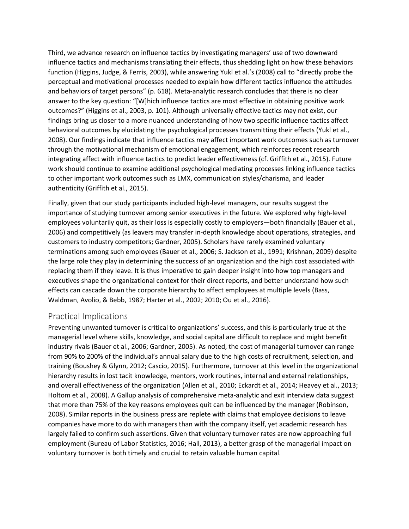Third, we advance research on influence tactics by investigating managers' use of two downward influence tactics and mechanisms translating their effects, thus shedding light on how these behaviors function [\(Higgins, Judge, & Ferris, 2003\)](http://journals.sagepub.com/doi/10.1177/1548051817709007), while answering Yukl et al.'s (2008) call to "directly probe the perceptual and motivational processes needed to explain how different tactics influence the attitudes and behaviors of target persons" (p. 618). Meta-analytic research concludes that there is no clear answer to the key question: "[W]hich influence tactics are most effective in obtaining positive work outcomes?" [\(Higgins et al., 2003,](http://journals.sagepub.com/doi/10.1177/1548051817709007) p. 101). Although universally effective tactics may not exist, our findings bring us closer to a more nuanced understanding of how two specific influence tactics affect behavioral outcomes by elucidating the psychological processes transmitting their effects [\(Yukl et al.,](http://journals.sagepub.com/doi/10.1177/1548051817709007)  [2008\)](http://journals.sagepub.com/doi/10.1177/1548051817709007). Our findings indicate that influence tactics may affect important work outcomes such as turnover through the motivational mechanism of emotional engagement, which reinforces recent research integrating affect with influence tactics to predict leader effectiveness (cf. [Griffith et al., 2015\)](http://journals.sagepub.com/doi/10.1177/1548051817709007). Future work should continue to examine additional psychological mediating processes linking influence tactics to other important work outcomes such as LMX, communication styles/charisma, and leader authenticity [\(Griffith et al., 2015\)](http://journals.sagepub.com/doi/10.1177/1548051817709007).

Finally, given that our study participants included high-level managers, our results suggest the importance of studying turnover among senior executives in the future. We explored why high-level employees voluntarily quit, as their loss is especially costly to employers—both financially (Bauer et al., [2006\)](http://journals.sagepub.com/doi/10.1177/1548051817709007) and competitively (as leavers may transfer in-depth knowledge about operations, strategies, and customers to industry competitors; [Gardner, 2005\)](http://journals.sagepub.com/doi/10.1177/1548051817709007). Scholars have rarely examined voluntary terminations among such employees [\(Bauer et al., 2006; S. Jackson et al., 1991; Krishnan, 2009\)](http://journals.sagepub.com/doi/10.1177/1548051817709007) despite the large role they play in determining the success of an organization and the high cost associated with replacing them if they leave. It is thus imperative to gain deeper insight into how top managers and executives shape the organizational context for their direct reports, and better understand how such effects can cascade down the corporate hierarchy to affect employees at multiple levels [\(Bass,](http://journals.sagepub.com/doi/10.1177/1548051817709007)  [Waldman, Avolio, & Bebb, 1987; Harter et al., 2002; 2010; Ou et al., 2016\)](http://journals.sagepub.com/doi/10.1177/1548051817709007).

#### <span id="page-14-0"></span>Practical Implications

Preventing unwanted turnover is critical to organizations' success, and this is particularly true at the managerial level where skills, knowledge, and social capital are difficult to replace and might benefit industry rivals [\(Bauer et al., 2006; Gardner, 2005\)](http://journals.sagepub.com/doi/10.1177/1548051817709007). As noted, the cost of managerial turnover can range from 90% to 200% of the individual's annual salary due to the high costs of recruitment, selection, and training [\(Boushey & Glynn, 2012; Cascio, 2015\)](http://journals.sagepub.com/doi/10.1177/1548051817709007). Furthermore, turnover at this level in the organizational hierarchy results in lost tacit knowledge, mentors, work routines, internal and external relationships, and overall effectiveness of the organization [\(Allen et al., 2010; Eckardt et al., 2014; Heavey et al., 2013;](http://journals.sagepub.com/doi/10.1177/1548051817709007) [Holtom et al., 2008\)](http://journals.sagepub.com/doi/10.1177/1548051817709007). A Gallup analysis of comprehensive meta-analytic and exit interview data suggest that more than 75% of the key reasons employees quit can be influenced by the manager [\(Robinson,](http://journals.sagepub.com/doi/10.1177/1548051817709007)  [2008\)](http://journals.sagepub.com/doi/10.1177/1548051817709007). Similar reports in the business press are replete with claims that employee decisions to leave companies have more to do with managers than with the company itself, yet academic research has largely failed to confirm such assertions. Given that voluntary turnover rates are now approaching full employment [\(Bureau of Labor Statistics, 2016; Hall, 2013\)](http://journals.sagepub.com/doi/10.1177/1548051817709007), a better grasp of the managerial impact on voluntary turnover is both timely and crucial to retain valuable human capital.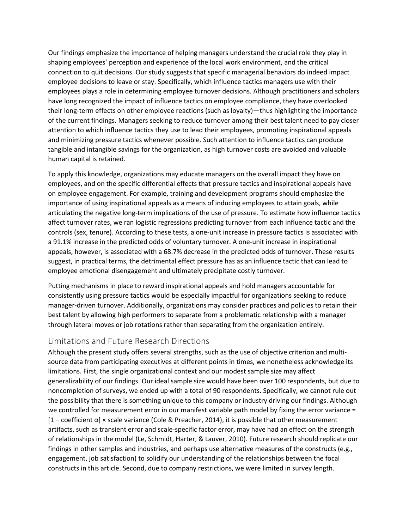Our findings emphasize the importance of helping managers understand the crucial role they play in shaping employees' perception and experience of the local work environment, and the critical connection to quit decisions. Our study suggests that specific managerial behaviors do indeed impact employee decisions to leave or stay. Specifically, which influence tactics managers use with their employees plays a role in determining employee turnover decisions. Although practitioners and scholars have long recognized the impact of influence tactics on employee compliance, they have overlooked their long-term effects on other employee reactions (such as loyalty)—thus highlighting the importance of the current findings. Managers seeking to reduce turnover among their best talent need to pay closer attention to which influence tactics they use to lead their employees, promoting inspirational appeals and minimizing pressure tactics whenever possible. Such attention to influence tactics can produce tangible and intangible savings for the organization, as high turnover costs are avoided and valuable human capital is retained.

To apply this knowledge, organizations may educate managers on the overall impact they have on employees, and on the specific differential effects that pressure tactics and inspirational appeals have on employee engagement. For example, training and development programs should emphasize the importance of using inspirational appeals as a means of inducing employees to attain goals, while articulating the negative long-term implications of the use of pressure. To estimate how influence tactics affect turnover rates, we ran logistic regressions predicting turnover from each influence tactic and the controls (sex, tenure). According to these tests, a one-unit increase in pressure tactics is associated with a 91.1% increase in the predicted odds of voluntary turnover. A one-unit increase in inspirational appeals, however, is associated with a 68.7% decrease in the predicted odds of turnover. These results suggest, in practical terms, the detrimental effect pressure has as an influence tactic that can lead to employee emotional disengagement and ultimately precipitate costly turnover.

Putting mechanisms in place to reward inspirational appeals and hold managers accountable for consistently using pressure tactics would be especially impactful for organizations seeking to reduce manager-driven turnover. Additionally, organizations may consider practices and policies to retain their best talent by allowing high performers to separate from a problematic relationship with a manager through lateral moves or job rotations rather than separating from the organization entirely.

#### <span id="page-15-0"></span>Limitations and Future Research Directions

Although the present study offers several strengths, such as the use of objective criterion and multisource data from participating executives at different points in times, we nonetheless acknowledge its limitations. First, the single organizational context and our modest sample size may affect generalizability of our findings. Our ideal sample size would have been over 100 respondents, but due to noncompletion of surveys, we ended up with a total of 90 respondents. Specifically, we cannot rule out the possibility that there is something unique to this company or industry driving our findings. Although we controlled for measurement error in our manifest variable path model by fixing the error variance = [1 − coefficient α] × scale variance ([Cole & Preacher, 2014\)](http://journals.sagepub.com/doi/10.1177/1548051817709007), it is possible that other measurement artifacts, such as transient error and scale-specific factor error, may have had an effect on the strength of relationships in the model [\(Le, Schmidt, Harter, & Lauver, 2010\)](http://journals.sagepub.com/doi/10.1177/1548051817709007). Future research should replicate our findings in other samples and industries, and perhaps use alternative measures of the constructs (e.g., engagement, job satisfaction) to solidify our understanding of the relationships between the focal constructs in this article. Second, due to company restrictions, we were limited in survey length.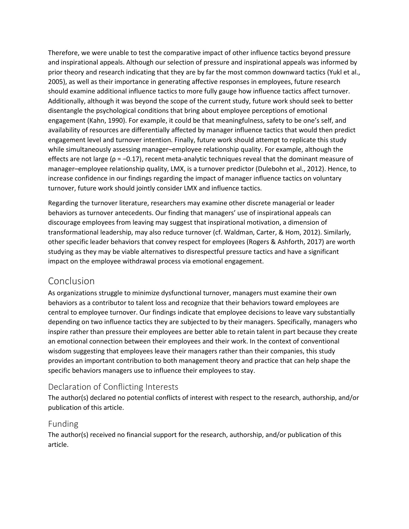Therefore, we were unable to test the comparative impact of other influence tactics beyond pressure and inspirational appeals. Although our selection of pressure and inspirational appeals was informed by prior theory and research indicating that they are by far the most common downward tactics [\(Yukl et al.,](http://journals.sagepub.com/doi/10.1177/1548051817709007)  [2005\)](http://journals.sagepub.com/doi/10.1177/1548051817709007), as well as their importance in generating affective responses in employees, future research should examine additional influence tactics to more fully gauge how influence tactics affect turnover. Additionally, although it was beyond the scope of the current study, future work should seek to better disentangle the psychological conditions that bring about employee perceptions of emotional engagement [\(Kahn, 1990\)](http://journals.sagepub.com/doi/10.1177/1548051817709007). For example, it could be that meaningfulness, safety to be one's self, and availability of resources are differentially affected by manager influence tactics that would then predict engagement level and turnover intention. Finally, future work should attempt to replicate this study while simultaneously assessing manager–employee relationship quality. For example, although the effects are not large ( $\rho$  = −0.17), recent meta-analytic techniques reveal that the dominant measure of manager–employee relationship quality, LMX, is a turnover predictor [\(Dulebohn et al., 2012\)](http://journals.sagepub.com/doi/10.1177/1548051817709007). Hence, to increase confidence in our findings regarding the impact of manager influence tactics on voluntary turnover, future work should jointly consider LMX and influence tactics.

Regarding the turnover literature, researchers may examine other discrete managerial or leader behaviors as turnover antecedents. Our finding that managers' use of inspirational appeals can discourage employees from leaving may suggest that inspirational motivation, a dimension of transformational leadership, may also reduce turnover (cf[. Waldman, Carter, & Hom, 2012\)](http://journals.sagepub.com/doi/10.1177/1548051817709007). Similarly, other specific leader behaviors that convey respect for employees [\(Rogers & Ashforth, 2017\)](http://journals.sagepub.com/doi/10.1177/1548051817709007) are worth studying as they may be viable alternatives to disrespectful pressure tactics and have a significant impact on the employee withdrawal process via emotional engagement.

## <span id="page-16-0"></span>Conclusion

As organizations struggle to minimize dysfunctional turnover, managers must examine their own behaviors as a contributor to talent loss and recognize that their behaviors toward employees are central to employee turnover. Our findings indicate that employee decisions to leave vary substantially depending on two influence tactics they are subjected to by their managers. Specifically, managers who inspire rather than pressure their employees are better able to retain talent in part because they create an emotional connection between their employees and their work. In the context of conventional wisdom suggesting that employees leave their managers rather than their companies, this study provides an important contribution to both management theory and practice that can help shape the specific behaviors managers use to influence their employees to stay.

## <span id="page-16-1"></span>Declaration of Conflicting Interests

The author(s) declared no potential conflicts of interest with respect to the research, authorship, and/or publication of this article.

## <span id="page-16-2"></span>Funding

The author(s) received no financial support for the research, authorship, and/or publication of this article.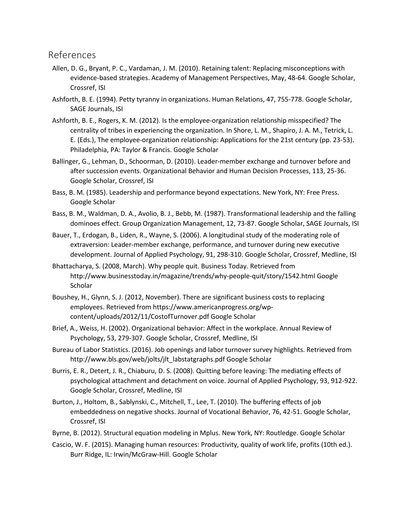### <span id="page-17-0"></span>References

- Allen, D. G., Bryant, P. C., Vardaman, J. M. (2010). Retaining talent: Replacing misconceptions with evidence-based strategies. Academy of Management Perspectives, May, 48-64. [Google Scholar,](http://scholar.google.com/scholar_lookup?hl=en&publication_year=2010&pages=48-64&author=D.+G.+Allen&author=P.+C.+Bryant&author=J.+M.+Vardaman&title=Retaining+talent%3A+Replacing+misconceptions+with+evidence-based+strategies&) [Crossref,](http://journals.sagepub.com/servlet/linkout?suffix=bibr1-1548051817709007&dbid=16&doi=10.1177%2F1548051817709007&key=10.5465%2FAMP.2010.51827775) [ISI](http://journals.sagepub.com/servlet/linkout?suffix=bibr1-1548051817709007&dbid=128&doi=10.1177%2F1548051817709007&key=000279042500005)
- Ashforth, B. E. (1994). Petty tyranny in organizations. Human Relations, 47, 755-778. [Google Scholar,](http://scholar.google.com/scholar_lookup?hl=en&publication_year=1994&pages=755-778&author=B.+E.+Ashforth&title=Petty+tyranny+in+organizations&) [SAGE Journals,](http://journals.sagepub.com/doi/10.1177/001872679404700701) [ISI](http://journals.sagepub.com/servlet/linkout?suffix=bibr2-1548051817709007&dbid=128&doi=10.1177%2F1548051817709007&key=A1994NX22400001)
- Ashforth, B. E., Rogers, K. M. (2012). Is the employee-organization relationship misspecified? The centrality of tribes in experiencing the organization. In Shore, L. M., Shapiro, J. A. M., Tetrick, L. E. (Eds.), The employee-organization relationship: Applications for the 21st century (pp. 23-53). Philadelphia, PA: Taylor & Francis. [Google Scholar](http://scholar.google.com/scholar_lookup?hl=en&publication_year=2012&pages=23-53&author=B.+E.+Ashforth&author=K.+M.+Rogers&title=The+employee-organization+relationship%3A+Applications+for+the+21st+century&)
- Ballinger, G., Lehman, D., Schoorman, D. (2010). Leader-member exchange and turnover before and after succession events. Organizational Behavior and Human Decision Processes, 113, 25-36. [Google Scholar,](http://scholar.google.com/scholar_lookup?hl=en&publication_year=2010&pages=25-36&author=G.+Ballinger&author=D.+Lehman&author=D.+Schoorman&title=Leader-member+exchange+and+turnover+before+and+after+succession+events&) [Crossref,](http://journals.sagepub.com/servlet/linkout?suffix=bibr4-1548051817709007&dbid=16&doi=10.1177%2F1548051817709007&key=10.1016%2Fj.obhdp.2010.04.003) [ISI](http://journals.sagepub.com/servlet/linkout?suffix=bibr4-1548051817709007&dbid=128&doi=10.1177%2F1548051817709007&key=000281348700003)
- Bass, B. M. (1985). Leadership and performance beyond expectations. New York, NY: Free Press. [Google Scholar](http://scholar.google.com/scholar_lookup?hl=en&publication_year=1985&author=B.+M.+Bass&title=Leadership+and+performance+beyond+expectations&)
- Bass, B. M., Waldman, D. A., Avolio, B. J., Bebb, M. (1987). Transformational leadership and the falling dominoes effect. Group Organization Management, 12, 73-87. [Google Scholar,](http://scholar.google.com/scholar_lookup?hl=en&publication_year=1987&pages=73-87&author=B.+M.+Bass&author=D.+A.+Waldman&author=B.+J.+Avolio&author=M.+Bebb&title=Transformational+leadership+and+the+falling+dominoes+effect&) [SAGE Journals,](http://journals.sagepub.com/doi/10.1177/105960118701200106) [ISI](http://journals.sagepub.com/servlet/linkout?suffix=bibr6-1548051817709007&dbid=128&doi=10.1177%2F1548051817709007&key=A1987J017200005)
- Bauer, T., Erdogan, B., Liden, R., Wayne, S. (2006). A longitudinal study of the moderating role of extraversion: Leader-member exchange, performance, and turnover during new executive development. Journal of Applied Psychology, 91, 298-310[. Google Scholar,](http://scholar.google.com/scholar_lookup?hl=en&publication_year=2006&pages=298-310&author=T.+Bauer&author=B.+Erdogan&author=R.+Liden&author=S.+Wayne&title=A+longitudinal+study+of+the+moderating+role+of+extraversion%3A+Leader-member+exchange%2C+performance%2C+and+turnover+during+new+executive+development&) [Crossref,](http://journals.sagepub.com/servlet/linkout?suffix=bibr7-1548051817709007&dbid=16&doi=10.1177%2F1548051817709007&key=10.1037%2F0021-9010.91.2.298) [Medline,](http://journals.sagepub.com/servlet/linkout?suffix=bibr7-1548051817709007&dbid=8&doi=10.1177%2F1548051817709007&key=16551185) [ISI](http://journals.sagepub.com/servlet/linkout?suffix=bibr7-1548051817709007&dbid=128&doi=10.1177%2F1548051817709007&key=000236386100005)
- Bhattacharya, S. (2008, March). Why people quit. Business Today. Retrieved from <http://www.businesstoday.in/magazine/trends/why-people-quit/story/1542.html> [Google](http://scholar.google.com/scholar_lookup?hl=en&publication_year=2008&pages=298-310&author=S.+Bhattacharya&title=Why+people+quit&)  [Scholar](http://scholar.google.com/scholar_lookup?hl=en&publication_year=2008&pages=298-310&author=S.+Bhattacharya&title=Why+people+quit&)
- Boushey, H., Glynn, S. J. (2012, November). There are significant business costs to replacing employees. Retrieved from [https://www.americanprogress.org/wp](https://www.americanprogress.org/wp-content/uploads/2012/11/CostofTurnover.pdf)[content/uploads/2012/11/CostofTurnover.pdf](https://www.americanprogress.org/wp-content/uploads/2012/11/CostofTurnover.pdf) [Google Scholar](http://scholar.google.com/scholar_lookup?hl=en&publication_year=2012&pages=298-310&author=H.+Boushey&author=S.+J.+Glynn&title=There+are+significant+business+costs+to+replacing+employees&)
- Brief, A., Weiss, H. (2002). Organizational behavior: Affect in the workplace. Annual Review of Psychology, 53, 279-307[. Google Scholar,](http://scholar.google.com/scholar_lookup?hl=en&publication_year=2002&pages=279-307&author=A.+Brief&author=H.+Weiss&title=Organizational+behavior%3A+Affect+in+the+workplace&) [Crossref,](http://journals.sagepub.com/servlet/linkout?suffix=bibr10-1548051817709007&dbid=16&doi=10.1177%2F1548051817709007&key=10.1146%2Fannurev.psych.53.100901.135156) [Medline,](http://journals.sagepub.com/servlet/linkout?suffix=bibr10-1548051817709007&dbid=8&doi=10.1177%2F1548051817709007&key=11752487) [ISI](http://journals.sagepub.com/servlet/linkout?suffix=bibr10-1548051817709007&dbid=128&doi=10.1177%2F1548051817709007&key=000174039200012)
- Bureau of Labor Statistics. (2016). Job openings and labor turnover survey highlights. Retrieved from [http://www.bls.gov/web/jolts/jlt\\_labstatgraphs.pdf](http://www.bls.gov/web/jolts/jlt_labstatgraphs.pdf) [Google Scholar](http://scholar.google.com/scholar?hl=en&q=%0ABureau+of+Labor+Statistics.+%282016%29.+Job+openings+and+labor+turnover+survey+highlights.+Retrieved+from+http%3A%2F%2Fwww.bls.gov%2Fweb%2Fjolts%2Fjlt_labstatgraphs.pdf)
- Burris, E. R., Detert, J. R., Chiaburu, D. S. (2008). Quitting before leaving: The mediating effects of psychological attachment and detachment on voice. Journal of Applied Psychology, 93, 912-922. [Google Scholar,](http://scholar.google.com/scholar_lookup?hl=en&publication_year=2008&pages=912-922&author=E.+R.+Burris&author=J.+R.+Detert&author=D.+S.+Chiaburu&title=Quitting+before+leaving%3A+The+mediating+effects+of+psychological+attachment+and+detachment+on+voice&) [Crossref,](http://journals.sagepub.com/servlet/linkout?suffix=bibr12-1548051817709007&dbid=16&doi=10.1177%2F1548051817709007&key=10.1037%2F0021-9010.93.4.912) [Medline,](http://journals.sagepub.com/servlet/linkout?suffix=bibr12-1548051817709007&dbid=8&doi=10.1177%2F1548051817709007&key=18642993) [ISI](http://journals.sagepub.com/servlet/linkout?suffix=bibr12-1548051817709007&dbid=128&doi=10.1177%2F1548051817709007&key=000257680700015)
- Burton, J., Holtom, B., Sablynski, C., Mitchell, T., Lee, T. (2010). The buffering effects of job embeddedness on negative shocks. Journal of Vocational Behavior, 76, 42-51. [Google Scholar,](http://scholar.google.com/scholar_lookup?hl=en&publication_year=2010&pages=42-51&author=J.+Burton&author=B.+Holtom&author=C.+Sablynski&author=T.+Mitchell&author=T.+Lee&title=The+buffering+effects+of+job+embeddedness+on+negative+shocks&) [Crossref,](http://journals.sagepub.com/servlet/linkout?suffix=bibr13-1548051817709007&dbid=16&doi=10.1177%2F1548051817709007&key=10.1016%2Fj.jvb.2009.06.006) [ISI](http://journals.sagepub.com/servlet/linkout?suffix=bibr13-1548051817709007&dbid=128&doi=10.1177%2F1548051817709007&key=000274715800005)
- Byrne, B. (2012). Structural equation modeling in Mplus. New York, NY: Routledge. [Google Scholar](http://scholar.google.com/scholar_lookup?hl=en&publication_year=2012&author=B.+Byrne&title=Structural+equation+modeling+in+Mplus&)
- Cascio, W. F. (2015). Managing human resources: Productivity, quality of work life, profits (10th ed.). Burr Ridge, IL: Irwin/McGraw-Hill. [Google Scholar](http://scholar.google.com/scholar_lookup?hl=en&publication_year=2015&author=W.+F.+Cascio&title=Managing+human+resources%3A+Productivity%2C+quality+of+work+life%2C+profits&)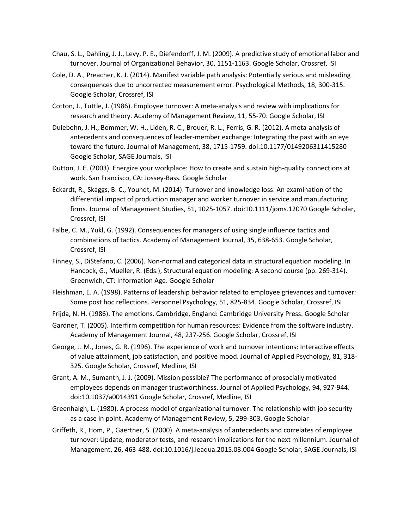- Chau, S. L., Dahling, J. J., Levy, P. E., Diefendorff, J. M. (2009). A predictive study of emotional labor and turnover. Journal of Organizational Behavior, 30, 1151-1163. [Google Scholar,](http://scholar.google.com/scholar_lookup?hl=en&publication_year=2009&pages=1151-1163&author=S.+L.+Chau&author=J.+J.+Dahling&author=P.+E.+Levy&author=J.+M.+Diefendorff&title=A+predictive+study+of+emotional+labor+and+turnover&) [Crossref,](http://journals.sagepub.com/servlet/linkout?suffix=bibr16-1548051817709007&dbid=16&doi=10.1177%2F1548051817709007&key=10.1002%2Fjob.617) [ISI](http://journals.sagepub.com/servlet/linkout?suffix=bibr16-1548051817709007&dbid=128&doi=10.1177%2F1548051817709007&key=000271514400007)
- Cole, D. A., Preacher, K. J. (2014). Manifest variable path analysis: Potentially serious and misleading consequences due to uncorrected measurement error. Psychological Methods, 18, 300-315. [Google Scholar,](http://scholar.google.com/scholar_lookup?hl=en&publication_year=2014&pages=300-315&author=D.+A.+Cole&author=K.+J.+Preacher&title=Manifest+variable+path+analysis%3A+Potentially+serious+and+misleading+consequences+due+to+uncorrected+measurement+error&) [Crossref,](http://journals.sagepub.com/servlet/linkout?suffix=bibr17-1548051817709007&dbid=16&doi=10.1177%2F1548051817709007&key=10.1037%2Fa0033805) [ISI](http://journals.sagepub.com/servlet/linkout?suffix=bibr17-1548051817709007&dbid=128&doi=10.1177%2F1548051817709007&key=000337898900008)
- Cotton, J., Tuttle, J. (1986). Employee turnover: A meta-analysis and review with implications for research and theory. Academy of Management Review, 11, 55-70. [Google Scholar,](http://scholar.google.com/scholar_lookup?hl=en&publication_year=1986&pages=55-70&author=J.+Cotton&author=J.+Tuttle&title=Employee+turnover%3A+A+meta-analysis+and+review+with+implications+for+research+and+theory&) [ISI](http://journals.sagepub.com/servlet/linkout?suffix=bibr18-1548051817709007&dbid=128&doi=10.1177%2F1548051817709007&key=A1986AXY8300004)
- Dulebohn, J. H., Bommer, W. H., Liden, R. C., Brouer, R. L., Ferris, G. R. (2012). A meta-analysis of antecedents and consequences of leader-member exchange: Integrating the past with an eye toward the future. Journal of Management, 38, 1715-1759. doi:10.1177/0149206311415280 [Google Scholar,](http://scholar.google.com/scholar_lookup?hl=en&publication_year=2012&pages=1715-1759&author=J.+H.+Dulebohn&author=W.+H.+Bommer&author=R.+C.+Liden&author=R.+L.+Brouer&author=G.+R.+Ferris&title=A+meta-analysis+of+antecedents+and+consequences+of+leader-member+exchange%3A+Integrating+the+past+with+an+eye+toward+the+future&) [SAGE Journals,](http://journals.sagepub.com/doi/10.1177/0149206311415280) [ISI](http://journals.sagepub.com/servlet/linkout?suffix=bibr19-1548051817709007&dbid=128&doi=10.1177%2F1548051817709007&key=000309577900002)
- Dutton, J. E. (2003). Energize your workplace: How to create and sustain high-quality connections at work. San Francisco, CA: Jossey-Bass. [Google Scholar](http://scholar.google.com/scholar_lookup?hl=en&publication_year=2003&author=J.+E.+Dutton&title=Energize+your+workplace%3A+How+to+create+and+sustain+high-quality+connections+at+work&)
- Eckardt, R., Skaggs, B. C., Youndt, M. (2014). Turnover and knowledge loss: An examination of the differential impact of production manager and worker turnover in service and manufacturing firms. Journal of Management Studies, 51, 1025-1057. doi:10.1111/joms.12070 [Google Scholar,](http://scholar.google.com/scholar_lookup?hl=en&publication_year=2014&pages=1025-1057&author=R.+Eckardt&author=B.+C.+Skaggs&author=M.+Youndt&title=Turnover+and+knowledge+loss%3A+An+examination+of+the+differential+impact+of+production+manager+and+worker+turnover+in+service+and+manufacturing+firms&) [Crossref,](http://journals.sagepub.com/servlet/linkout?suffix=bibr21-1548051817709007&dbid=16&doi=10.1177%2F1548051817709007&key=10.1111%2Fjoms.12070) [ISI](http://journals.sagepub.com/servlet/linkout?suffix=bibr21-1548051817709007&dbid=128&doi=10.1177%2F1548051817709007&key=000344153000008)
- Falbe, C. M., Yukl, G. (1992). Consequences for managers of using single influence tactics and combinations of tactics. Academy of Management Journal, 35, 638-653. [Google Scholar,](http://scholar.google.com/scholar_lookup?hl=en&publication_year=1992&pages=638-653&author=C.+M.+Falbe&author=G.+Yukl&title=Consequences+for+managers+of+using+single+influence+tactics+and+combinations+of+tactics&) [Crossref,](http://journals.sagepub.com/servlet/linkout?suffix=bibr22-1548051817709007&dbid=16&doi=10.1177%2F1548051817709007&key=10.2307%2F256490) [ISI](http://journals.sagepub.com/servlet/linkout?suffix=bibr22-1548051817709007&dbid=128&doi=10.1177%2F1548051817709007&key=A1992JF15000007)
- Finney, S., DiStefano, C. (2006). Non-normal and categorical data in structural equation modeling. In Hancock, G., Mueller, R. (Eds.), Structural equation modeling: A second course (pp. 269-314). Greenwich, CT: Information Age[. Google Scholar](http://scholar.google.com/scholar_lookup?hl=en&publication_year=2006&pages=269-314&author=S.+Finney&author=C.+DiStefano&title=Structural+equation+modeling%3A+A+second+course&)
- Fleishman, E. A. (1998). Patterns of leadership behavior related to employee grievances and turnover: Some post hoc reflections. Personnel Psychology, 51, 825-834. [Google Scholar,](http://scholar.google.com/scholar_lookup?hl=en&publication_year=1998&pages=825-834&author=E.+A.+Fleishman&title=Patterns+of+leadership+behavior+related+to+employee+grievances+and+turnover%3A+Some+post+hoc+reflections&) [Crossref,](http://journals.sagepub.com/servlet/linkout?suffix=bibr24-1548051817709007&dbid=16&doi=10.1177%2F1548051817709007&key=10.1111%2Fj.1744-6570.1998.tb00740.x) [ISI](http://journals.sagepub.com/servlet/linkout?suffix=bibr24-1548051817709007&dbid=128&doi=10.1177%2F1548051817709007&key=000077674100004)
- Frijda, N. H. (1986). The emotions. Cambridge, England: Cambridge University Press. [Google Scholar](http://scholar.google.com/scholar_lookup?hl=en&publication_year=1986&author=N.+H.+Frijda&title=The+emotions&)
- Gardner, T. (2005). Interfirm competition for human resources: Evidence from the software industry. Academy of Management Journal, 48, 237-256[. Google Scholar,](http://scholar.google.com/scholar_lookup?hl=en&publication_year=2005&pages=237-256&author=T.+Gardner&title=Interfirm+competition+for+human+resources%3A+Evidence+from+the+software+industry&) [Crossref,](http://journals.sagepub.com/servlet/linkout?suffix=bibr26-1548051817709007&dbid=16&doi=10.1177%2F1548051817709007&key=10.5465%2FAMJ.2005.16928398) [ISI](http://journals.sagepub.com/servlet/linkout?suffix=bibr26-1548051817709007&dbid=128&doi=10.1177%2F1548051817709007&key=000229000800004)
- George, J. M., Jones, G. R. (1996). The experience of work and turnover intentions: Interactive effects of value attainment, job satisfaction, and positive mood. Journal of Applied Psychology, 81, 318- 325. [Google Scholar,](http://scholar.google.com/scholar_lookup?hl=en&publication_year=1996&pages=318-325&author=J.+M.+George&author=G.+R.+Jones&title=The+experience+of+work+and+turnover+intentions%3A+Interactive+effects+of+value+attainment%2C+job+satisfaction%2C+and+positive+mood&) [Crossref,](http://journals.sagepub.com/servlet/linkout?suffix=bibr27-1548051817709007&dbid=16&doi=10.1177%2F1548051817709007&key=10.1037%2F0021-9010.81.3.318) [Medline,](http://journals.sagepub.com/servlet/linkout?suffix=bibr27-1548051817709007&dbid=8&doi=10.1177%2F1548051817709007&key=8690691) [ISI](http://journals.sagepub.com/servlet/linkout?suffix=bibr27-1548051817709007&dbid=128&doi=10.1177%2F1548051817709007&key=A1996UQ66600009)
- Grant, A. M., Sumanth, J. J. (2009). Mission possible? The performance of prosocially motivated employees depends on manager trustworthiness. Journal of Applied Psychology, 94, 927-944. doi:10.1037/a001439[1 Google Scholar,](http://scholar.google.com/scholar_lookup?hl=en&publication_year=2009&pages=927-944&author=A.+M.+Grant&author=J.+J.+Sumanth&title=Mission+possible%3F+The+performance+of+prosocially+motivated+employees+depends+on+manager+trustworthiness&) [Crossref,](http://journals.sagepub.com/servlet/linkout?suffix=bibr28-1548051817709007&dbid=16&doi=10.1177%2F1548051817709007&key=10.1037%2Fa0014391) [Medline,](http://journals.sagepub.com/servlet/linkout?suffix=bibr28-1548051817709007&dbid=8&doi=10.1177%2F1548051817709007&key=19594235) [ISI](http://journals.sagepub.com/servlet/linkout?suffix=bibr28-1548051817709007&dbid=128&doi=10.1177%2F1548051817709007&key=000267497000008)
- Greenhalgh, L. (1980). A process model of organizational turnover: The relationship with job security as a case in point. Academy of Management Review, 5, 299-303. [Google Scholar](http://scholar.google.com/scholar_lookup?hl=en&publication_year=1980&pages=299-303&author=L.+Greenhalgh&title=A+process+model+of+organizational+turnover%3A+The+relationship+with+job+security+as+a+case+in+point&)
- Griffeth, R., Hom, P., Gaertner, S. (2000). A meta-analysis of antecedents and correlates of employee turnover: Update, moderator tests, and research implications for the next millennium. Journal of Management, 26, 463-488. doi:10.1016/j.leaqua.2015.03.004 [Google Scholar,](http://scholar.google.com/scholar_lookup?hl=en&publication_year=2000&pages=463-488&author=R.+Griffeth&author=P.+Hom&author=S.+Gaertner&title=A+meta-analysis+of+antecedents+and+correlates+of+employee+turnover%3A+Update%2C+moderator+tests%2C+and+research+implications+for+the+next+millennium&) [SAGE Journals,](http://journals.sagepub.com/doi/10.1177/014920630002600305) [ISI](http://journals.sagepub.com/servlet/linkout?suffix=bibr30-1548051817709007&dbid=128&doi=10.1177%2F1548051817709007&key=000088751800004)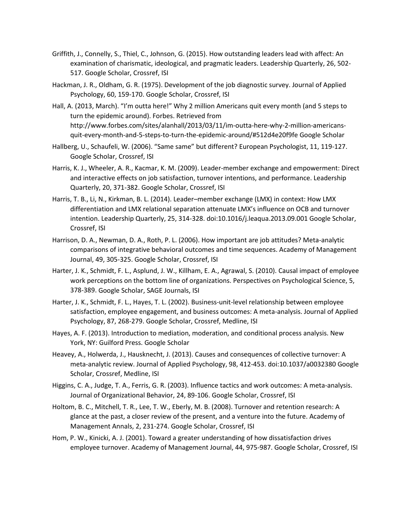- Griffith, J., Connelly, S., Thiel, C., Johnson, G. (2015). How outstanding leaders lead with affect: An examination of charismatic, ideological, and pragmatic leaders. Leadership Quarterly, 26, 502- 517. [Google Scholar,](http://scholar.google.com/scholar_lookup?hl=en&publication_year=2015&pages=502-517&author=J.+Griffith&author=S.+Connelly&author=C.+Thiel&author=G.+Johnson&title=How+outstanding+leaders+lead+with+affect%3A+An+examination+of+charismatic%2C+ideological%2C+and+pragmatic+leaders&) [Crossref,](http://journals.sagepub.com/servlet/linkout?suffix=bibr31-1548051817709007&dbid=16&doi=10.1177%2F1548051817709007&key=10.1016%2Fj.leaqua.2015.03.004) [ISI](http://journals.sagepub.com/servlet/linkout?suffix=bibr31-1548051817709007&dbid=128&doi=10.1177%2F1548051817709007&key=000360186600003)
- Hackman, J. R., Oldham, G. R. (1975). Development of the job diagnostic survey. Journal of Applied Psychology, 60, 159-170[. Google Scholar,](http://scholar.google.com/scholar_lookup?hl=en&publication_year=1975&pages=159-170&author=J.+R.+Hackman&author=G.+R.+Oldham&title=Development+of+the+job+diagnostic+survey&) [Crossref,](http://journals.sagepub.com/servlet/linkout?suffix=bibr32-1548051817709007&dbid=16&doi=10.1177%2F1548051817709007&key=10.1037%2Fh0076546) [ISI](http://journals.sagepub.com/servlet/linkout?suffix=bibr32-1548051817709007&dbid=128&doi=10.1177%2F1548051817709007&key=A1975W086900001)
- Hall, A. (2013, March). "I'm outta here!" Why 2 million Americans quit every month (and 5 steps to turn the epidemic around). Forbes. Retrieved from [http://www.forbes.com/sites/alanhall/2013/03/11/im-outta-here-why-2-million-americans](http://www.forbes.com/sites/alanhall/2013/03/11/im-outta-here-why-2-million-americans-quit-every-month-and-5-steps-to-turn-the-epidemic-around/#512d4e20f9fe)[quit-every-month-and-5-steps-to-turn-the-epidemic-around/#512d4e20f9fe](http://www.forbes.com/sites/alanhall/2013/03/11/im-outta-here-why-2-million-americans-quit-every-month-and-5-steps-to-turn-the-epidemic-around/#512d4e20f9fe) [Google Scholar](http://scholar.google.com/scholar_lookup?hl=en&publication_year=2013&pages=159-170&author=A.+Hall&title=%E2%80%9CI%E2%80%99m+outta+here%21%E2%80%9D+Why+2+million+Americans+quit+every+month+%28and+5+steps+to+turn+the+epidemic+around%29&)
- Hallberg, U., Schaufeli, W. (2006). "Same same" but different? European Psychologist, 11, 119-127. [Google Scholar,](http://scholar.google.com/scholar_lookup?hl=en&publication_year=2006&pages=119-127&author=U.+Hallberg&author=W.+Schaufeli&title=%E2%80%9CSame+same%E2%80%9D+but+different%3F&) [Crossref,](http://journals.sagepub.com/servlet/linkout?suffix=bibr34-1548051817709007&dbid=16&doi=10.1177%2F1548051817709007&key=10.1027%2F1016-9040.11.2.119) [ISI](http://journals.sagepub.com/servlet/linkout?suffix=bibr34-1548051817709007&dbid=128&doi=10.1177%2F1548051817709007&key=000239233700005)
- Harris, K. J., Wheeler, A. R., Kacmar, K. M. (2009). Leader-member exchange and empowerment: Direct and interactive effects on job satisfaction, turnover intentions, and performance. Leadership Quarterly, 20, 371-382[. Google Scholar,](http://scholar.google.com/scholar_lookup?hl=en&publication_year=2009&pages=371-382&author=K.+J.+Harris&author=A.+R.+Wheeler&author=K.+M.+Kacmar&title=Leader-member+exchange+and+empowerment%3A+Direct+and+interactive+effects+on+job+satisfaction%2C+turnover+intentions%2C+and+performance&) [Crossref,](http://journals.sagepub.com/servlet/linkout?suffix=bibr35-1548051817709007&dbid=16&doi=10.1177%2F1548051817709007&key=10.1016%2Fj.leaqua.2009.03.006) [ISI](http://journals.sagepub.com/servlet/linkout?suffix=bibr35-1548051817709007&dbid=128&doi=10.1177%2F1548051817709007&key=000266311600010)
- Harris, T. B., Li, N., Kirkman, B. L. (2014). Leader–member exchange (LMX) in context: How LMX differentiation and LMX relational separation attenuate LMX's influence on OCB and turnover intention. Leadership Quarterly, 25, 314-328. doi:10.1016/j.leaqua.2013.09.001 [Google Scholar,](http://scholar.google.com/scholar_lookup?hl=en&publication_year=2014&pages=314-328&author=T.+B.+Harris&author=N.+Li&author=B.+L.+Kirkman&title=Leader%E2%80%93member+exchange+%28LMX%29+in+context%3A+How+LMX+differentiation+and+LMX+relational+separation+attenuate+LMX%E2%80%99s+influence+on+OCB+and+turnover+intention&) [Crossref,](http://journals.sagepub.com/servlet/linkout?suffix=bibr36-1548051817709007&dbid=16&doi=10.1177%2F1548051817709007&key=10.1016%2Fj.leaqua.2013.09.001) [ISI](http://journals.sagepub.com/servlet/linkout?suffix=bibr36-1548051817709007&dbid=128&doi=10.1177%2F1548051817709007&key=000334651100009)
- Harrison, D. A., Newman, D. A., Roth, P. L. (2006). How important are job attitudes? Meta-analytic comparisons of integrative behavioral outcomes and time sequences. Academy of Management Journal, 49, 305-325[. Google Scholar,](http://scholar.google.com/scholar_lookup?hl=en&publication_year=2006&pages=305-325&author=D.+A.+Harrison&author=D.+A.+Newman&author=P.+L.+Roth&title=How+important+are+job+attitudes%3F+Meta-analytic+comparisons+of+integrative+behavioral+outcomes+and+time+sequences&) [Crossref,](http://journals.sagepub.com/servlet/linkout?suffix=bibr37-1548051817709007&dbid=16&doi=10.1177%2F1548051817709007&key=10.5465%2FAMJ.2006.20786077) [ISI](http://journals.sagepub.com/servlet/linkout?suffix=bibr37-1548051817709007&dbid=128&doi=10.1177%2F1548051817709007&key=000237198600010)
- Harter, J. K., Schmidt, F. L., Asplund, J. W., Killham, E. A., Agrawal, S. (2010). Causal impact of employee work perceptions on the bottom line of organizations. Perspectives on Psychological Science, 5, 378-389. [Google Scholar,](http://scholar.google.com/scholar_lookup?hl=en&publication_year=2010&pages=378-389&author=J.+K.+Harter&author=F.+L.+Schmidt&author=J.+W.+Asplund&author=E.+A.+Killham&author=S.+Agrawal&title=Causal+impact+of+employee+work+perceptions+on+the+bottom+line+of+organizations&) [SAGE Journals,](http://journals.sagepub.com/doi/10.1177/1745691610374589) [ISI](http://journals.sagepub.com/servlet/linkout?suffix=bibr38-1548051817709007&dbid=128&doi=10.1177%2F1548051817709007&key=000286983100003)
- Harter, J. K., Schmidt, F. L., Hayes, T. L. (2002). Business-unit-level relationship between employee satisfaction, employee engagement, and business outcomes: A meta-analysis. Journal of Applied Psychology, 87, 268-279[. Google Scholar,](http://scholar.google.com/scholar_lookup?hl=en&publication_year=2002&pages=268-279&author=J.+K.+Harter&author=F.+L.+Schmidt&author=T.+L.+Hayes&title=Business-unit-level+relationship+between+employee+satisfaction%2C+employee+engagement%2C+and+business+outcomes%3A+A+meta-analysis&) [Crossref,](http://journals.sagepub.com/servlet/linkout?suffix=bibr39-1548051817709007&dbid=16&doi=10.1177%2F1548051817709007&key=10.1037%2F0021-9010.87.2.268) [Medline,](http://journals.sagepub.com/servlet/linkout?suffix=bibr39-1548051817709007&dbid=8&doi=10.1177%2F1548051817709007&key=12002955) [ISI](http://journals.sagepub.com/servlet/linkout?suffix=bibr39-1548051817709007&dbid=128&doi=10.1177%2F1548051817709007&key=000174847600006)
- Hayes, A. F. (2013). Introduction to mediation, moderation, and conditional process analysis. New York, NY: Guilford Press. [Google Scholar](http://scholar.google.com/scholar_lookup?hl=en&publication_year=2013&author=A.+F.+Hayes&title=Introduction+to+mediation%2C+moderation%2C+and+conditional+process+analysis&)
- Heavey, A., Holwerda, J., Hausknecht, J. (2013). Causes and consequences of collective turnover: A meta-analytic review. Journal of Applied Psychology, 98, 412-453. doi:10.1037/a003238[0 Google](http://scholar.google.com/scholar_lookup?hl=en&publication_year=2013&pages=412-453&author=A.+Heavey&author=J.+Holwerda&author=J.+Hausknecht&title=Causes+and+consequences+of+collective+turnover%3A+A+meta-analytic+review&)  [Scholar,](http://scholar.google.com/scholar_lookup?hl=en&publication_year=2013&pages=412-453&author=A.+Heavey&author=J.+Holwerda&author=J.+Hausknecht&title=Causes+and+consequences+of+collective+turnover%3A+A+meta-analytic+review&) [Crossref,](http://journals.sagepub.com/servlet/linkout?suffix=bibr41-1548051817709007&dbid=16&doi=10.1177%2F1548051817709007&key=10.1037%2Fa0032380) [Medline,](http://journals.sagepub.com/servlet/linkout?suffix=bibr41-1548051817709007&dbid=8&doi=10.1177%2F1548051817709007&key=23668597) [ISI](http://journals.sagepub.com/servlet/linkout?suffix=bibr41-1548051817709007&dbid=128&doi=10.1177%2F1548051817709007&key=000318693400002)
- Higgins, C. A., Judge, T. A., Ferris, G. R. (2003). Influence tactics and work outcomes: A meta-analysis. Journal of Organizational Behavior, 24, 89-106. [Google Scholar,](http://scholar.google.com/scholar_lookup?hl=en&publication_year=2003&pages=89-106&author=C.+A.+Higgins&author=T.+A.+Judge&author=G.+R.+Ferris&title=Influence+tactics+and+work+outcomes%3A+A+meta-analysis&) [Crossref,](http://journals.sagepub.com/servlet/linkout?suffix=bibr42-1548051817709007&dbid=16&doi=10.1177%2F1548051817709007&key=10.1002%2Fjob.181) [ISI](http://journals.sagepub.com/servlet/linkout?suffix=bibr42-1548051817709007&dbid=128&doi=10.1177%2F1548051817709007&key=000180446500005)
- Holtom, B. C., Mitchell, T. R., Lee, T. W., Eberly, M. B. (2008). Turnover and retention research: A glance at the past, a closer review of the present, and a venture into the future. Academy of Management Annals, 2, 231-274. [Google Scholar,](http://scholar.google.com/scholar_lookup?hl=en&publication_year=2008&pages=231-274&author=B.+C.+Holtom&author=T.+R.+Mitchell&author=T.+W.+Lee&author=M.+B.+Eberly&title=Turnover+and+retention+research%3A+A+glance+at+the+past%2C+a+closer+review+of+the+present%2C+and+a+venture+into+the+future&) [Crossref,](http://journals.sagepub.com/servlet/linkout?suffix=bibr43-1548051817709007&dbid=16&doi=10.1177%2F1548051817709007&key=10.1080%2F19416520802211552) [ISI](http://journals.sagepub.com/servlet/linkout?suffix=bibr43-1548051817709007&dbid=128&doi=10.1177%2F1548051817709007&key=000207501500005)
- Hom, P. W., Kinicki, A. J. (2001). Toward a greater understanding of how dissatisfaction drives employee turnover. Academy of Management Journal, 44, 975-987[. Google Scholar,](http://scholar.google.com/scholar_lookup?hl=en&publication_year=2001&pages=975-987&author=P.+W.+Hom&author=A.+J.+Kinicki&title=Toward+a+greater+understanding+of+how+dissatisfaction+drives+employee+turnover&) [Crossref,](http://journals.sagepub.com/servlet/linkout?suffix=bibr44-1548051817709007&dbid=16&doi=10.1177%2F1548051817709007&key=10.2307%2F3069441) [ISI](http://journals.sagepub.com/servlet/linkout?suffix=bibr44-1548051817709007&dbid=128&doi=10.1177%2F1548051817709007&key=000171698400004)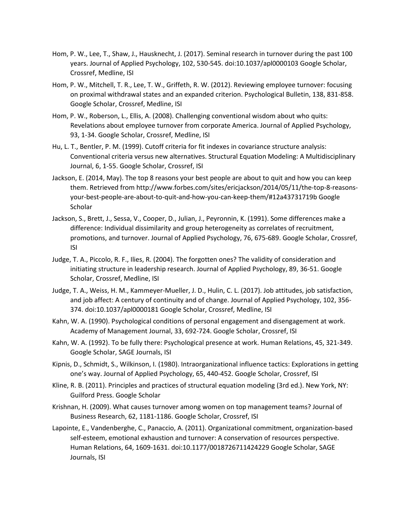- Hom, P. W., Lee, T., Shaw, J., Hausknecht, J. (2017). Seminal research in turnover during the past 100 years. Journal of Applied Psychology, 102, 530-545. doi:10.1037/apl0000103 [Google Scholar,](http://scholar.google.com/scholar_lookup?hl=en&publication_year=2017&pages=530-545&author=P.+W.+Hom&author=T.+Lee&author=J.+Shaw&author=J.+Hausknecht&title=Seminal+research+in+turnover+during+the+past+100+years&) [Crossref,](http://journals.sagepub.com/servlet/linkout?suffix=bibr45-1548051817709007&dbid=16&doi=10.1177%2F1548051817709007&key=10.1037%2Fapl0000103) [Medline,](http://journals.sagepub.com/servlet/linkout?suffix=bibr45-1548051817709007&dbid=8&doi=10.1177%2F1548051817709007&key=28125259) [ISI](http://journals.sagepub.com/servlet/linkout?suffix=bibr45-1548051817709007&dbid=128&doi=10.1177%2F1548051817709007&key=000396238200019)
- Hom, P. W., Mitchell, T. R., Lee, T. W., Griffeth, R. W. (2012). Reviewing employee turnover: focusing on proximal withdrawal states and an expanded criterion. Psychological Bulletin, 138, 831-858. [Google Scholar,](http://scholar.google.com/scholar_lookup?hl=en&publication_year=2012&pages=831-858&author=P.+W.+Hom&author=T.+R.+Mitchell&author=T.+W.+Lee&author=R.+W.+Griffeth&title=Reviewing+employee+turnover%3A+focusing+on+proximal+withdrawal+states+and+an+expanded+criterion&) [Crossref,](http://journals.sagepub.com/servlet/linkout?suffix=bibr46-1548051817709007&dbid=16&doi=10.1177%2F1548051817709007&key=10.1037%2Fa0027983) [Medline,](http://journals.sagepub.com/servlet/linkout?suffix=bibr46-1548051817709007&dbid=8&doi=10.1177%2F1548051817709007&key=22925138) [ISI](http://journals.sagepub.com/servlet/linkout?suffix=bibr46-1548051817709007&dbid=128&doi=10.1177%2F1548051817709007&key=000307908200001)
- Hom, P. W., Roberson, L., Ellis, A. (2008). Challenging conventional wisdom about who quits: Revelations about employee turnover from corporate America. Journal of Applied Psychology, 93, 1-34. [Google Scholar,](http://scholar.google.com/scholar_lookup?hl=en&publication_year=2008&pages=1-34&author=P.+W.+Hom&author=L.+Roberson&author=A.+Ellis&title=Challenging+conventional+wisdom+about+who+quits%3A+Revelations+about+employee+turnover+from+corporate+America&) [Crossref,](http://journals.sagepub.com/servlet/linkout?suffix=bibr47-1548051817709007&dbid=16&doi=10.1177%2F1548051817709007&key=10.1037%2F0021-9010.93.1.1) [Medline,](http://journals.sagepub.com/servlet/linkout?suffix=bibr47-1548051817709007&dbid=8&doi=10.1177%2F1548051817709007&key=18211132) [ISI](http://journals.sagepub.com/servlet/linkout?suffix=bibr47-1548051817709007&dbid=128&doi=10.1177%2F1548051817709007&key=000252327900001)
- Hu, L. T., Bentler, P. M. (1999). Cutoff criteria for fit indexes in covariance structure analysis: Conventional criteria versus new alternatives. Structural Equation Modeling: A Multidisciplinary Journal, 6, 1-55. [Google Scholar,](http://scholar.google.com/scholar_lookup?hl=en&publication_year=1999&pages=1-55&author=L.+T.+Hu&author=P.+M.+Bentler&title=Cutoff+criteria+for+fit+indexes+in+covariance+structure+analysis%3A+Conventional+criteria+versus+new+alternatives&) [Crossref,](http://journals.sagepub.com/servlet/linkout?suffix=bibr48-1548051817709007&dbid=16&doi=10.1177%2F1548051817709007&key=10.1080%2F10705519909540118) [ISI](http://journals.sagepub.com/servlet/linkout?suffix=bibr48-1548051817709007&dbid=128&doi=10.1177%2F1548051817709007&key=000208063500001)
- Jackson, E. (2014, May). The top 8 reasons your best people are about to quit and how you can keep them. Retrieved from [http://www.forbes.com/sites/ericjackson/2014/05/11/the-top-8-reasons](http://www.forbes.com/sites/ericjackson/2014/05/11/the-top-8-reasons-your-best-people-are-about-to-quit-and-how-you-can-keep-them/#12a43731719b)[your-best-people-are-about-to-quit-and-how-you-can-keep-them/#12a43731719b](http://www.forbes.com/sites/ericjackson/2014/05/11/the-top-8-reasons-your-best-people-are-about-to-quit-and-how-you-can-keep-them/#12a43731719b) [Google](http://scholar.google.com/scholar_lookup?hl=en&publication_year=2014&pages=1-55&author=E.+Jackson&title=The+top+8+reasons+your+best+people+are+about+to+quit+and+how+you+can+keep+them&)  **[Scholar](http://scholar.google.com/scholar_lookup?hl=en&publication_year=2014&pages=1-55&author=E.+Jackson&title=The+top+8+reasons+your+best+people+are+about+to+quit+and+how+you+can+keep+them&)**
- Jackson, S., Brett, J., Sessa, V., Cooper, D., Julian, J., Peyronnin, K. (1991). Some differences make a difference: Individual dissimilarity and group heterogeneity as correlates of recruitment, promotions, and turnover. Journal of Applied Psychology, 76, 675-689. [Google Scholar,](http://scholar.google.com/scholar_lookup?hl=en&publication_year=1991&pages=675-689&author=S.+Jackson&author=J.+Brett&author=V.+Sessa&author=D.+Cooper&author=J.+Julian&author=K.+Peyronnin&title=Some+differences+make+a+difference%3A+Individual+dissimilarity+and+group+heterogeneity+as+correlates+of+recruitment%2C+promotions%2C+and+turnover&) [Crossref,](http://journals.sagepub.com/servlet/linkout?suffix=bibr50-1548051817709007&dbid=16&doi=10.1177%2F1548051817709007&key=10.1037%2F0021-9010.76.5.675) [ISI](http://journals.sagepub.com/servlet/linkout?suffix=bibr50-1548051817709007&dbid=128&doi=10.1177%2F1548051817709007&key=A1991GJ64800008)
- Judge, T. A., Piccolo, R. F., Ilies, R. (2004). The forgotten ones? The validity of consideration and initiating structure in leadership research. Journal of Applied Psychology, 89, 36-51. [Google](http://scholar.google.com/scholar_lookup?hl=en&publication_year=2004&pages=36-51&author=T.+A.+Judge&author=R.+F.+Piccolo&author=R.+Ilies&title=The+forgotten+ones%3F+The+validity+of+consideration+and+initiating+structure+in+leadership+research&)  [Scholar,](http://scholar.google.com/scholar_lookup?hl=en&publication_year=2004&pages=36-51&author=T.+A.+Judge&author=R.+F.+Piccolo&author=R.+Ilies&title=The+forgotten+ones%3F+The+validity+of+consideration+and+initiating+structure+in+leadership+research&) [Crossref,](http://journals.sagepub.com/servlet/linkout?suffix=bibr51-1548051817709007&dbid=16&doi=10.1177%2F1548051817709007&key=10.1037%2F0021-9010.89.1.36) [Medline,](http://journals.sagepub.com/servlet/linkout?suffix=bibr51-1548051817709007&dbid=8&doi=10.1177%2F1548051817709007&key=14769119) [ISI](http://journals.sagepub.com/servlet/linkout?suffix=bibr51-1548051817709007&dbid=128&doi=10.1177%2F1548051817709007&key=000188736000004)
- Judge, T. A., Weiss, H. M., Kammeyer-Mueller, J. D., Hulin, C. L. (2017). Job attitudes, job satisfaction, and job affect: A century of continuity and of change. Journal of Applied Psychology, 102, 356- 374. doi:10.1037/apl0000181 [Google Scholar,](http://scholar.google.com/scholar_lookup?hl=en&publication_year=2017&pages=356-374&author=T.+A.+Judge&author=H.+M.+Weiss&author=J.+D.+Kammeyer-Mueller&author=C.+L.+Hulin&title=Job+attitudes%2C+job+satisfaction%2C+and+job+affect%3A+A+century+of+continuity+and+of+change&) [Crossref,](http://journals.sagepub.com/servlet/linkout?suffix=bibr52-1548051817709007&dbid=16&doi=10.1177%2F1548051817709007&key=10.1037%2Fapl0000181) [Medline,](http://journals.sagepub.com/servlet/linkout?suffix=bibr52-1548051817709007&dbid=8&doi=10.1177%2F1548051817709007&key=28125260) [ISI](http://journals.sagepub.com/servlet/linkout?suffix=bibr52-1548051817709007&dbid=128&doi=10.1177%2F1548051817709007&key=000396238200008)
- Kahn, W. A. (1990). Psychological conditions of personal engagement and disengagement at work. Academy of Management Journal, 33, 692-724[. Google Scholar,](http://scholar.google.com/scholar_lookup?hl=en&publication_year=1990&pages=692-724&author=W.+A.+Kahn&title=Psychological+conditions+of+personal+engagement+and+disengagement+at+work&) [Crossref,](http://journals.sagepub.com/servlet/linkout?suffix=bibr53-1548051817709007&dbid=16&doi=10.1177%2F1548051817709007&key=10.2307%2F256287) [ISI](http://journals.sagepub.com/servlet/linkout?suffix=bibr53-1548051817709007&dbid=128&doi=10.1177%2F1548051817709007&key=A1990EK65800002)
- Kahn, W. A. (1992). To be fully there: Psychological presence at work. Human Relations, 45, 321-349. [Google Scholar,](http://scholar.google.com/scholar_lookup?hl=en&publication_year=1992&pages=321-349&author=W.+A.+Kahn&title=To+be+fully+there%3A+Psychological+presence+at+work&) [SAGE Journals,](http://journals.sagepub.com/doi/10.1177/001872679204500402) [ISI](http://journals.sagepub.com/servlet/linkout?suffix=bibr54-1548051817709007&dbid=128&doi=10.1177%2F1548051817709007&key=A1992HM70800002)
- Kipnis, D., Schmidt, S., Wilkinson, I. (1980). Intraorganizational influence tactics: Explorations in getting one's way. Journal of Applied Psychology, 65, 440-452. [Google Scholar,](http://scholar.google.com/scholar_lookup?hl=en&publication_year=1980&pages=440-452&author=D.+Kipnis&author=S.+Schmidt&author=I.+Wilkinson&title=Intraorganizational+influence+tactics%3A+Explorations+in+getting+one%E2%80%99s+way&) [Crossref,](http://journals.sagepub.com/servlet/linkout?suffix=bibr55-1548051817709007&dbid=16&doi=10.1177%2F1548051817709007&key=10.1037%2F0021-9010.65.4.440) [ISI](http://journals.sagepub.com/servlet/linkout?suffix=bibr55-1548051817709007&dbid=128&doi=10.1177%2F1548051817709007&key=A1980KD38900007)
- Kline, R. B. (2011). Principles and practices of structural equation modeling (3rd ed.). New York, NY: Guilford Press. [Google Scholar](http://scholar.google.com/scholar_lookup?hl=en&publication_year=2011&author=R.+B.+Kline&title=Principles+and+practices+of+structural+equation+modeling&)
- Krishnan, H. (2009). What causes turnover among women on top management teams? Journal of Business Research, 62, 1181-1186. [Google Scholar,](http://scholar.google.com/scholar_lookup?hl=en&publication_year=2009&pages=1181-1186&author=H.+Krishnan&title=What+causes+turnover+among+women+on+top+management+teams%3F&) [Crossref,](http://journals.sagepub.com/servlet/linkout?suffix=bibr57-1548051817709007&dbid=16&doi=10.1177%2F1548051817709007&key=10.1016%2Fj.jbusres.2008.09.001) [ISI](http://journals.sagepub.com/servlet/linkout?suffix=bibr57-1548051817709007&dbid=128&doi=10.1177%2F1548051817709007&key=000270694100020)
- Lapointe, E., Vandenberghe, C., Panaccio, A. (2011). Organizational commitment, organization-based self-esteem, emotional exhaustion and turnover: A conservation of resources perspective. Human Relations, 64, 1609-1631. doi:10.1177/001872671142422[9 Google Scholar,](http://scholar.google.com/scholar_lookup?hl=en&publication_year=2011&pages=1609-1631&author=E.+Lapointe&author=C.+Vandenberghe&author=A.+Panaccio&title=Organizational+commitment%2C+organization-based+self-esteem%2C+emotional+exhaustion+and+turnover%3A+A+conservation+of+resources+perspective&) [SAGE](http://journals.sagepub.com/doi/10.1177/0018726711424229)  [Journals,](http://journals.sagepub.com/doi/10.1177/0018726711424229) [ISI](http://journals.sagepub.com/servlet/linkout?suffix=bibr58-1548051817709007&dbid=128&doi=10.1177%2F1548051817709007&key=000297520900005)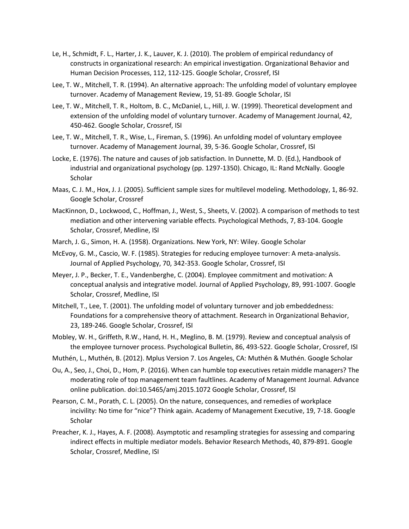- Le, H., Schmidt, F. L., Harter, J. K., Lauver, K. J. (2010). The problem of empirical redundancy of constructs in organizational research: An empirical investigation. Organizational Behavior and Human Decision Processes, 112, 112-125[. Google Scholar,](http://scholar.google.com/scholar_lookup?hl=en&publication_year=2010&pages=112-125&author=H.+Le&author=F.+L.+Schmidt&author=J.+K.+Harter&author=K.+J.+Lauver&title=The+problem+of+empirical+redundancy+of+constructs+in+organizational+research%3A+An+empirical+investigation&) [Crossref,](http://journals.sagepub.com/servlet/linkout?suffix=bibr59-1548051817709007&dbid=16&doi=10.1177%2F1548051817709007&key=10.1016%2Fj.obhdp.2010.02.003) [ISI](http://journals.sagepub.com/servlet/linkout?suffix=bibr59-1548051817709007&dbid=128&doi=10.1177%2F1548051817709007&key=000279135500003)
- Lee, T. W., Mitchell, T. R. (1994). An alternative approach: The unfolding model of voluntary employee turnover. Academy of Management Review, 19, 51-89[. Google Scholar,](http://scholar.google.com/scholar_lookup?hl=en&publication_year=1994&pages=51-89&author=T.+W.+Lee&author=T.+R.+Mitchell&title=An+alternative+approach%3A+The+unfolding+model+of+voluntary+employee+turnover&) [ISI](http://journals.sagepub.com/servlet/linkout?suffix=bibr60-1548051817709007&dbid=128&doi=10.1177%2F1548051817709007&key=A1994MQ78800005)
- Lee, T. W., Mitchell, T. R., Holtom, B. C., McDaniel, L., Hill, J. W. (1999). Theoretical development and extension of the unfolding model of voluntary turnover. Academy of Management Journal, 42, 450-462. [Google Scholar,](http://scholar.google.com/scholar_lookup?hl=en&publication_year=1999&pages=450-462&author=T.+W.+Lee&author=T.+R.+Mitchell&author=B.+C.+Holtom&author=L.+McDaniel&author=J.+W.+Hill&title=Theoretical+development+and+extension+of+the+unfolding+model+of+voluntary+turnover&) [Crossref,](http://journals.sagepub.com/servlet/linkout?suffix=bibr61-1548051817709007&dbid=16&doi=10.1177%2F1548051817709007&key=10.2307%2F257015) [ISI](http://journals.sagepub.com/servlet/linkout?suffix=bibr61-1548051817709007&dbid=128&doi=10.1177%2F1548051817709007&key=000081988200008)
- Lee, T. W., Mitchell, T. R., Wise, L., Fireman, S. (1996). An unfolding model of voluntary employee turnover. Academy of Management Journal, 39, 5-36. [Google Scholar,](http://scholar.google.com/scholar_lookup?hl=en&publication_year=1996&pages=5-36&author=T.+W.+Lee&author=T.+R.+Mitchell&author=L.+Wise&author=S.+Fireman&title=An+unfolding+model+of+voluntary+employee+turnover&) [Crossref,](http://journals.sagepub.com/servlet/linkout?suffix=bibr62-1548051817709007&dbid=16&doi=10.1177%2F1548051817709007&key=10.2307%2F256629) [ISI](http://journals.sagepub.com/servlet/linkout?suffix=bibr62-1548051817709007&dbid=128&doi=10.1177%2F1548051817709007&key=A1996TV92200001)
- Locke, E. (1976). The nature and causes of job satisfaction. In Dunnette, M. D. (Ed.), Handbook of industrial and organizational psychology (pp. 1297-1350). Chicago, IL: Rand McNally. [Google](http://scholar.google.com/scholar_lookup?hl=en&publication_year=1976&pages=1297-1350&author=E.+Locke&title=Handbook+of+industrial+and+organizational+psychology&)  **[Scholar](http://scholar.google.com/scholar_lookup?hl=en&publication_year=1976&pages=1297-1350&author=E.+Locke&title=Handbook+of+industrial+and+organizational+psychology&)**
- Maas, C. J. M., Hox, J. J. (2005). Sufficient sample sizes for multilevel modeling. Methodology, 1, 86-92. [Google Scholar,](http://scholar.google.com/scholar_lookup?hl=en&publication_year=2005&pages=86-92&author=C.+J.+M.+Maas&author=J.+J.+Hox&title=Sufficient+sample+sizes+for+multilevel+modeling&) [Crossref](http://journals.sagepub.com/servlet/linkout?suffix=bibr64-1548051817709007&dbid=16&doi=10.1177%2F1548051817709007&key=10.1027%2F1614-2241.1.3.86)
- MacKinnon, D., Lockwood, C., Hoffman, J., West, S., Sheets, V. (2002). A comparison of methods to test mediation and other intervening variable effects. Psychological Methods, 7, 83-104. [Google](http://scholar.google.com/scholar_lookup?hl=en&publication_year=2002&pages=83-104&author=D.+MacKinnon&author=C.+Lockwood&author=J.+Hoffman&author=S.+West&author=V.+Sheets&title=A+comparison+of+methods+to+test+mediation+and+other+intervening+variable+effects&)  [Scholar,](http://scholar.google.com/scholar_lookup?hl=en&publication_year=2002&pages=83-104&author=D.+MacKinnon&author=C.+Lockwood&author=J.+Hoffman&author=S.+West&author=V.+Sheets&title=A+comparison+of+methods+to+test+mediation+and+other+intervening+variable+effects&) [Crossref,](http://journals.sagepub.com/servlet/linkout?suffix=bibr65-1548051817709007&dbid=16&doi=10.1177%2F1548051817709007&key=10.1037%2F1082-989X.7.1.83) [Medline,](http://journals.sagepub.com/servlet/linkout?suffix=bibr65-1548051817709007&dbid=8&doi=10.1177%2F1548051817709007&key=11928892) [ISI](http://journals.sagepub.com/servlet/linkout?suffix=bibr65-1548051817709007&dbid=128&doi=10.1177%2F1548051817709007&key=000174483300005)
- March, J. G., Simon, H. A. (1958). Organizations. New York, NY: Wiley[. Google Scholar](http://scholar.google.com/scholar_lookup?hl=en&publication_year=1958&author=J.+G.+March&author=H.+A.+Simon&title=Organizations&)
- McEvoy, G. M., Cascio, W. F. (1985). Strategies for reducing employee turnover: A meta-analysis. Journal of Applied Psychology, 70, 342-353. [Google Scholar,](http://scholar.google.com/scholar_lookup?hl=en&publication_year=1985&pages=342-353&author=G.+M.+McEvoy&author=W.+F.+Cascio&title=Strategies+for+reducing+employee+turnover%3A+A+meta-analysis&) [Crossref,](http://journals.sagepub.com/servlet/linkout?suffix=bibr67-1548051817709007&dbid=16&doi=10.1177%2F1548051817709007&key=10.1037%2F0021-9010.70.2.342) [ISI](http://journals.sagepub.com/servlet/linkout?suffix=bibr67-1548051817709007&dbid=128&doi=10.1177%2F1548051817709007&key=A1985AGZ2500011)
- Meyer, J. P., Becker, T. E., Vandenberghe, C. (2004). Employee commitment and motivation: A conceptual analysis and integrative model. Journal of Applied Psychology, 89, 991-1007[. Google](http://scholar.google.com/scholar_lookup?hl=en&publication_year=2004&pages=991-1007&author=J.+P.+Meyer&author=T.+E.+Becker&author=C.+Vandenberghe&title=Employee+commitment+and+motivation%3A+A+conceptual+analysis+and+integrative+model&)  [Scholar,](http://scholar.google.com/scholar_lookup?hl=en&publication_year=2004&pages=991-1007&author=J.+P.+Meyer&author=T.+E.+Becker&author=C.+Vandenberghe&title=Employee+commitment+and+motivation%3A+A+conceptual+analysis+and+integrative+model&) [Crossref,](http://journals.sagepub.com/servlet/linkout?suffix=bibr68-1548051817709007&dbid=16&doi=10.1177%2F1548051817709007&key=10.1037%2F0021-9010.89.6.991) [Medline,](http://journals.sagepub.com/servlet/linkout?suffix=bibr68-1548051817709007&dbid=8&doi=10.1177%2F1548051817709007&key=15584837) [ISI](http://journals.sagepub.com/servlet/linkout?suffix=bibr68-1548051817709007&dbid=128&doi=10.1177%2F1548051817709007&key=000225474100006)
- Mitchell, T., Lee, T. (2001). The unfolding model of voluntary turnover and job embeddedness: Foundations for a comprehensive theory of attachment. Research in Organizational Behavior, 23, 189-246[. Google Scholar,](http://scholar.google.com/scholar_lookup?hl=en&publication_year=2001&pages=189-246&author=T.+Mitchell&author=T.+Lee&title=The+unfolding+model+of+voluntary+turnover+and+job+embeddedness%3A+Foundations+for+a+comprehensive+theory+of+attachment&) [Crossref,](http://journals.sagepub.com/servlet/linkout?suffix=bibr69-1548051817709007&dbid=16&doi=10.1177%2F1548051817709007&key=10.1016%2FS0191-3085%2801%2923006-8) [ISI](http://journals.sagepub.com/servlet/linkout?suffix=bibr69-1548051817709007&dbid=128&doi=10.1177%2F1548051817709007&key=000173427700005)
- Mobley, W. H., Griffeth, R.W., Hand, H. H., Meglino, B. M. (1979). Review and conceptual analysis of the employee turnover process. Psychological Bulletin, 86, 493-522[. Google Scholar,](http://scholar.google.com/scholar_lookup?hl=en&publication_year=1979&pages=493-522&author=W.+H.+Mobley&author=R.W.+Griffeth&author=H.+H.+Hand&author=B.+M.+Meglino&title=Review+and+conceptual+analysis+of+the+employee+turnover+process&) [Crossref,](http://journals.sagepub.com/servlet/linkout?suffix=bibr70-1548051817709007&dbid=16&doi=10.1177%2F1548051817709007&key=10.1037%2F0033-2909.86.3.493) [ISI](http://journals.sagepub.com/servlet/linkout?suffix=bibr70-1548051817709007&dbid=128&doi=10.1177%2F1548051817709007&key=A1979JS26200004)
- Muthén, L., Muthén, B. (2012). Mplus Version 7. Los Angeles, CA: Muthén & Muthén. [Google Scholar](http://scholar.google.com/scholar_lookup?hl=en&publication_year=2012&author=L.+Muth%C3%A9n&author=B.+Muth%C3%A9n&title=Mplus+Version+7&)
- Ou, A., Seo, J., Choi, D., Hom, P. (2016). When can humble top executives retain middle managers? The moderating role of top management team faultlines. Academy of Management Journal. Advance online publication. doi:10.5465/amj.2015.1072 [Google Scholar,](http://scholar.google.com/scholar_lookup?hl=en&publication_year=2016&author=A.+Ou&author=J.+Seo&author=D.+Choi&author=P.+Hom&title=When+can+humble+top+executives+retain+middle+managers%3F+The+moderating+role+of+top+management+team+faultlines&) [Crossref,](http://journals.sagepub.com/servlet/linkout?suffix=bibr72-1548051817709007&dbid=16&doi=10.1177%2F1548051817709007&key=10.5465%2Famj.2015.1072) [ISI](http://journals.sagepub.com/servlet/linkout?suffix=bibr72-1548051817709007&dbid=128&doi=10.1177%2F1548051817709007&key=000413231000011)
- Pearson, C. M., Porath, C. L. (2005). On the nature, consequences, and remedies of workplace incivility: No time for "nice"? Think again. Academy of Management Executive, 19, 7-18. [Google](http://scholar.google.com/scholar_lookup?hl=en&publication_year=2005&pages=7-18&author=C.+M.+Pearson&author=C.+L.+Porath&title=On+the+nature%2C+consequences%2C+and+remedies+of+workplace+incivility%3A+No+time+for+%E2%80%9Cnice%E2%80%9D%3F+Think+again&)  **[Scholar](http://scholar.google.com/scholar_lookup?hl=en&publication_year=2005&pages=7-18&author=C.+M.+Pearson&author=C.+L.+Porath&title=On+the+nature%2C+consequences%2C+and+remedies+of+workplace+incivility%3A+No+time+for+%E2%80%9Cnice%E2%80%9D%3F+Think+again&)**
- Preacher, K. J., Hayes, A. F. (2008). Asymptotic and resampling strategies for assessing and comparing indirect effects in multiple mediator models. Behavior Research Methods, 40, 879-891. [Google](http://scholar.google.com/scholar_lookup?hl=en&publication_year=2008&pages=879-891&author=K.+J.+Preacher&author=A.+F.+Hayes&title=Asymptotic+and+resampling+strategies+for+assessing+and+comparing+indirect+effects+in+multiple+mediator+models&)  [Scholar,](http://scholar.google.com/scholar_lookup?hl=en&publication_year=2008&pages=879-891&author=K.+J.+Preacher&author=A.+F.+Hayes&title=Asymptotic+and+resampling+strategies+for+assessing+and+comparing+indirect+effects+in+multiple+mediator+models&) [Crossref,](http://journals.sagepub.com/servlet/linkout?suffix=bibr74-1548051817709007&dbid=16&doi=10.1177%2F1548051817709007&key=10.3758%2FBRM.40.3.879) [Medline,](http://journals.sagepub.com/servlet/linkout?suffix=bibr74-1548051817709007&dbid=8&doi=10.1177%2F1548051817709007&key=18697684) [ISI](http://journals.sagepub.com/servlet/linkout?suffix=bibr74-1548051817709007&dbid=128&doi=10.1177%2F1548051817709007&key=000257991700027)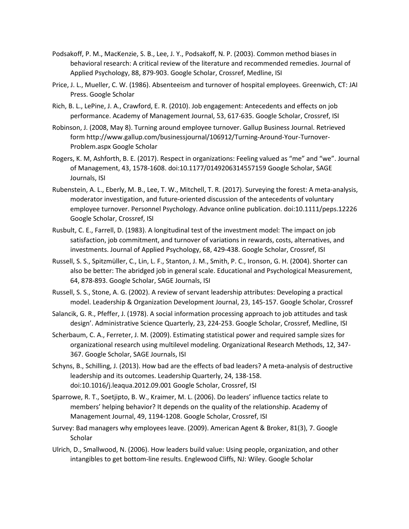- Podsakoff, P. M., MacKenzie, S. B., Lee, J. Y., Podsakoff, N. P. (2003). Common method biases in behavioral research: A critical review of the literature and recommended remedies. Journal of Applied Psychology, 88, 879-903. [Google Scholar,](http://scholar.google.com/scholar_lookup?hl=en&publication_year=2003&pages=879-903&author=P.+M.+Podsakoff&author=S.+B.+MacKenzie&author=J.+Y.+Lee&author=N.+P.+Podsakoff&title=Common+method+biases+in+behavioral+research%3A+A+critical+review+of+the+literature+and+recommended+remedies&) [Crossref,](http://journals.sagepub.com/servlet/linkout?suffix=bibr75-1548051817709007&dbid=16&doi=10.1177%2F1548051817709007&key=10.1037%2F0021-9010.88.5.879) [Medline,](http://journals.sagepub.com/servlet/linkout?suffix=bibr75-1548051817709007&dbid=8&doi=10.1177%2F1548051817709007&key=14516251) [ISI](http://journals.sagepub.com/servlet/linkout?suffix=bibr75-1548051817709007&dbid=128&doi=10.1177%2F1548051817709007&key=000185539000008)
- Price, J. L., Mueller, C. W. (1986). Absenteeism and turnover of hospital employees. Greenwich, CT: JAI Press. [Google Scholar](http://scholar.google.com/scholar_lookup?hl=en&publication_year=1986&author=J.+L.+Price&author=C.+W.+Mueller&title=Absenteeism+and+turnover+of+hospital+employees&)
- Rich, B. L., LePine, J. A., Crawford, E. R. (2010). Job engagement: Antecedents and effects on job performance. Academy of Management Journal, 53, 617-635. [Google Scholar,](http://scholar.google.com/scholar_lookup?hl=en&publication_year=2010&pages=617-635&author=B.+L.+Rich&author=J.+A.+LePine&author=E.+R.+Crawford&title=Job+engagement%3A+Antecedents+and+effects+on+job+performance&) [Crossref,](http://journals.sagepub.com/servlet/linkout?suffix=bibr77-1548051817709007&dbid=16&doi=10.1177%2F1548051817709007&key=10.5465%2FAMJ.2010.51468988) [ISI](http://journals.sagepub.com/servlet/linkout?suffix=bibr77-1548051817709007&dbid=128&doi=10.1177%2F1548051817709007&key=000279600500009)
- Robinson, J. (2008, May 8). Turning around employee turnover. Gallup Business Journal. Retrieved for[m http://www.gallup.com/businessjournal/106912/Turning-Around-Your-Turnover-](http://www.gallup.com/businessjournal/106912/Turning-Around-Your-Turnover-Problem.aspx)[Problem.aspx](http://www.gallup.com/businessjournal/106912/Turning-Around-Your-Turnover-Problem.aspx) [Google Scholar](http://scholar.google.com/scholar_lookup?hl=en&publication_year=2008&pages=617-635&author=J.+Robinson&title=Turning+around+employee+turnover&)
- Rogers, K. M, Ashforth, B. E. (2017). Respect in organizations: Feeling valued as "me" and "we". Journal of Management, 43, 1578-1608. doi:10.1177/0149206314557159 [Google Scholar,](http://scholar.google.com/scholar_lookup?hl=en&publication_year=2017&pages=1578-1608&author=K.+M+Rogers&author=B.+E.+Ashforth&title=Respect+in+organizations%3A+Feeling+valued+as+%E2%80%9Cme%E2%80%9D+and+%E2%80%9Cwe%E2%80%9D&) [SAGE](http://journals.sagepub.com/doi/10.1177/0149206314557159)  [Journals,](http://journals.sagepub.com/doi/10.1177/0149206314557159) [ISI](http://journals.sagepub.com/servlet/linkout?suffix=bibr79-1548051817709007&dbid=128&doi=10.1177%2F1548051817709007&key=000400377900011)
- Rubenstein, A. L., Eberly, M. B., Lee, T. W., Mitchell, T. R. (2017). Surveying the forest: A meta-analysis, moderator investigation, and future-oriented discussion of the antecedents of voluntary employee turnover. Personnel Psychology. Advance online publication. doi:10.1111/peps.12226 [Google Scholar,](http://scholar.google.com/scholar_lookup?hl=en&publication_year=2017&author=A.+L.+Rubenstein&author=M.+B.+Eberly&author=T.+W.+Lee&author=T.+R.+Mitchell&title=Surveying+the+forest%3A+A+meta-analysis%2C+moderator+investigation%2C+and+future-oriented+discussion+of+the+antecedents+of+voluntary+employee+turnover&) [Crossref,](http://journals.sagepub.com/servlet/linkout?suffix=bibr80-1548051817709007&dbid=16&doi=10.1177%2F1548051817709007&key=10.1111%2Fpeps.12226) [ISI](http://journals.sagepub.com/servlet/linkout?suffix=bibr80-1548051817709007&dbid=128&doi=10.1177%2F1548051817709007&key=000424286600002)
- Rusbult, C. E., Farrell, D. (1983). A longitudinal test of the investment model: The impact on job satisfaction, job commitment, and turnover of variations in rewards, costs, alternatives, and investments. Journal of Applied Psychology, 68, 429-438. [Google Scholar,](http://scholar.google.com/scholar_lookup?hl=en&publication_year=1983&pages=429-438&author=C.+E.+Rusbult&author=D.+Farrell&title=A+longitudinal+test+of+the+investment+model%3A+The+impact+on+job+satisfaction%2C+job+commitment%2C+and+turnover+of+variations+in+rewards%2C+costs%2C+alternatives%2C+and+investments&) [Crossref,](http://journals.sagepub.com/servlet/linkout?suffix=bibr81-1548051817709007&dbid=16&doi=10.1177%2F1548051817709007&key=10.1037%2F0021-9010.68.3.429) [ISI](http://journals.sagepub.com/servlet/linkout?suffix=bibr81-1548051817709007&dbid=128&doi=10.1177%2F1548051817709007&key=A1983RC72700009)
- Russell, S. S., Spitzmüller, C., Lin, L. F., Stanton, J. M., Smith, P. C., Ironson, G. H. (2004). Shorter can also be better: The abridged job in general scale. Educational and Psychological Measurement, 64, 878-893[. Google Scholar,](http://scholar.google.com/scholar_lookup?hl=en&publication_year=2004&pages=878-893&author=S.+S.+Russell&author=C.+Spitzm%C3%BCller&author=L.+F.+Lin&author=J.+M.+Stanton&author=P.+C.+Smith&author=G.+H.+Ironson&title=Shorter+can+also+be+better%3A+The+abridged+job+in+general+scale&) [SAGE Journals,](http://journals.sagepub.com/doi/10.1177/0013164404264841) [ISI](http://journals.sagepub.com/servlet/linkout?suffix=bibr82-1548051817709007&dbid=128&doi=10.1177%2F1548051817709007&key=000224086400009)
- Russell, S. S., Stone, A. G. (2002). A review of servant leadership attributes: Developing a practical model. Leadership & Organization Development Journal, 23, 145-157. [Google Scholar,](http://scholar.google.com/scholar_lookup?hl=en&publication_year=2002&pages=145-157&author=S.+S.+Russell&author=A.+G.+Stone&title=A+review+of+servant+leadership+attributes%3A+Developing+a+practical+model&) [Crossref](http://journals.sagepub.com/servlet/linkout?suffix=bibr83-1548051817709007&dbid=16&doi=10.1177%2F1548051817709007&key=10.1108%2F01437730210424)
- Salancik, G. R., Pfeffer, J. (1978). A social information processing approach to job attitudes and task design'. Administrative Science Quarterly, 23, 224-253. [Google Scholar,](http://scholar.google.com/scholar_lookup?hl=en&publication_year=1978&pages=224-253&author=G.+R.+Salancik&author=J.+Pfeffer&title=A+social+information+processing+approach+to+job+attitudes+and+task+design%E2%80%99&) [Crossref,](http://journals.sagepub.com/servlet/linkout?suffix=bibr84-1548051817709007&dbid=16&doi=10.1177%2F1548051817709007&key=10.2307%2F2392563) [Medline,](http://journals.sagepub.com/servlet/linkout?suffix=bibr84-1548051817709007&dbid=8&doi=10.1177%2F1548051817709007&key=10307892) [ISI](http://journals.sagepub.com/servlet/linkout?suffix=bibr84-1548051817709007&dbid=128&doi=10.1177%2F1548051817709007&key=A1978FA81700003)
- Scherbaum, C. A., Ferreter, J. M. (2009). Estimating statistical power and required sample sizes for organizational research using multilevel modeling. Organizational Research Methods, 12, 347- 367. [Google Scholar,](http://scholar.google.com/scholar_lookup?hl=en&publication_year=2009&pages=347-367&author=C.+A.+Scherbaum&author=J.+M.+Ferreter&title=Estimating+statistical+power+and+required+sample+sizes+for+organizational+research+using+multilevel+modeling&) [SAGE Journals,](http://journals.sagepub.com/doi/10.1177/1094428107308906) [ISI](http://journals.sagepub.com/servlet/linkout?suffix=bibr85-1548051817709007&dbid=128&doi=10.1177%2F1548051817709007&key=000264057000008)
- Schyns, B., Schilling, J. (2013). How bad are the effects of bad leaders? A meta-analysis of destructive leadership and its outcomes. Leadership Quarterly, 24, 138-158. doi:10.1016/j.leaqua.2012.09.001 [Google Scholar,](http://scholar.google.com/scholar_lookup?hl=en&publication_year=2013&pages=138-158&author=B.+Schyns&author=J.+Schilling&title=How+bad+are+the+effects+of+bad+leaders%3F+A+meta-analysis+of+destructive+leadership+and+its+outcomes&) [Crossref,](http://journals.sagepub.com/servlet/linkout?suffix=bibr86-1548051817709007&dbid=16&doi=10.1177%2F1548051817709007&key=10.1016%2Fj.leaqua.2012.09.001) [ISI](http://journals.sagepub.com/servlet/linkout?suffix=bibr86-1548051817709007&dbid=128&doi=10.1177%2F1548051817709007&key=000314261400010)
- Sparrowe, R. T., Soetjipto, B. W., Kraimer, M. L. (2006). Do leaders' influence tactics relate to members' helping behavior? It depends on the quality of the relationship. Academy of Management Journal, 49, 1194-1208. [Google Scholar,](http://scholar.google.com/scholar_lookup?hl=en&publication_year=2006&pages=1194-1208&author=R.+T.+Sparrowe&author=B.+W.+Soetjipto&author=M.+L.+Kraimer&title=Do+leaders%E2%80%99+influence+tactics+relate+to+members%E2%80%99+helping+behavior%3F+It+depends+on+the+quality+of+the+relationship&) [Crossref,](http://journals.sagepub.com/servlet/linkout?suffix=bibr87-1548051817709007&dbid=16&doi=10.1177%2F1548051817709007&key=10.5465%2FAMJ.2006.23478645) [ISI](http://journals.sagepub.com/servlet/linkout?suffix=bibr87-1548051817709007&dbid=128&doi=10.1177%2F1548051817709007&key=000243497600007)
- Survey: Bad managers why employees leave. (2009). American Agent & Broker, 81(3), 7. [Google](http://scholar.google.com/scholar_lookup?hl=en&publication_year=2009&pages=7&issue=3&author=Survey%3A+Bad+managers+why+employees+leave&)  [Scholar](http://scholar.google.com/scholar_lookup?hl=en&publication_year=2009&pages=7&issue=3&author=Survey%3A+Bad+managers+why+employees+leave&)
- Ulrich, D., Smallwood, N. (2006). How leaders build value: Using people, organization, and other intangibles to get bottom-line results. Englewood Cliffs, NJ: Wiley. [Google Scholar](http://scholar.google.com/scholar_lookup?hl=en&publication_year=2006&issue=3&author=D.+Ulrich&author=N.+Smallwood&title=How+leaders+build+value%3A+Using+people%2C+organization%2C+and+other+intangibles+to+get+bottom-line+results&)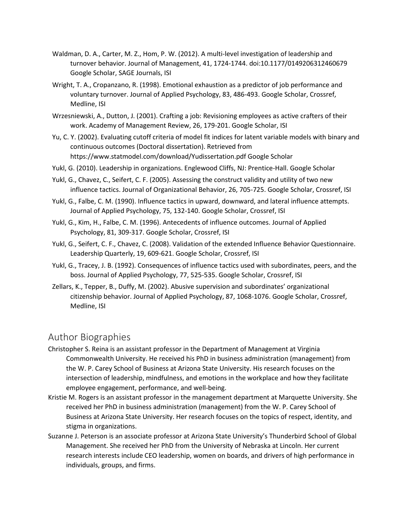- Waldman, D. A., Carter, M. Z., Hom, P. W. (2012). A multi-level investigation of leadership and turnover behavior. Journal of Management, 41, 1724-1744. doi:10.1177/0149206312460679 [Google Scholar,](http://scholar.google.com/scholar_lookup?hl=en&publication_year=2012&pages=1724-1744&author=D.+A.+Waldman&author=M.+Z.+Carter&author=P.+W.+Hom&title=A+multi-level+investigation+of+leadership+and+turnover+behavior&) [SAGE Journals,](http://journals.sagepub.com/doi/10.1177/0149206312460679) [ISI](http://journals.sagepub.com/servlet/linkout?suffix=bibr90-1548051817709007&dbid=128&doi=10.1177%2F1548051817709007&key=000358886800008)
- Wright, T. A., Cropanzano, R. (1998). Emotional exhaustion as a predictor of job performance and voluntary turnover. Journal of Applied Psychology, 83, 486-493[. Google Scholar,](http://scholar.google.com/scholar_lookup?hl=en&publication_year=1998&pages=486-493&author=T.+A.+Wright&author=R.+Cropanzano&title=Emotional+exhaustion+as+a+predictor+of+job+performance+and+voluntary+turnover&) [Crossref,](http://journals.sagepub.com/servlet/linkout?suffix=bibr91-1548051817709007&dbid=16&doi=10.1177%2F1548051817709007&key=10.1037%2F0021-9010.83.3.486) [Medline,](http://journals.sagepub.com/servlet/linkout?suffix=bibr91-1548051817709007&dbid=8&doi=10.1177%2F1548051817709007&key=9648526) [ISI](http://journals.sagepub.com/servlet/linkout?suffix=bibr91-1548051817709007&dbid=128&doi=10.1177%2F1548051817709007&key=000074861200011)
- Wrzesniewski, A., Dutton, J. (2001). Crafting a job: Revisioning employees as active crafters of their work. Academy of Management Review, 26, 179-201. [Google Scholar,](http://scholar.google.com/scholar_lookup?hl=en&publication_year=2001&pages=179-201&author=A.+Wrzesniewski&author=J.+Dutton&title=Crafting+a+job%3A+Revisioning+employees+as+active+crafters+of+their+work&) [ISI](http://journals.sagepub.com/servlet/linkout?suffix=bibr92-1548051817709007&dbid=128&doi=10.1177%2F1548051817709007&key=000168177700005)
- Yu, C. Y. (2002). Evaluating cutoff criteria of model fit indices for latent variable models with binary and continuous outcomes (Doctoral dissertation). Retrieved from <https://www.statmodel.com/download/Yudissertation.pdf> [Google Scholar](http://scholar.google.com/scholar_lookup?hl=en&publication_year=2002&pages=179-201&author=C.+Y.+Yu&title=Evaluating+cutoff+criteria+of+model+fit+indices+for+latent+variable+models+with+binary+and+continuous+outcomes&)
- Yukl, G. (2010). Leadership in organizations. Englewood Cliffs, NJ: Prentice-Hall. [Google Scholar](http://scholar.google.com/scholar_lookup?hl=en&publication_year=2010&author=G.+Yukl&title=Leadership+in+organizations&)
- Yukl, G., Chavez, C., Seifert, C. F. (2005). Assessing the construct validity and utility of two new influence tactics. Journal of Organizational Behavior, 26, 705-725[. Google Scholar,](http://scholar.google.com/scholar_lookup?hl=en&publication_year=2005&pages=705-725&author=G.+Yukl&author=C.+Chavez&author=C.+F.+Seifert&title=Assessing+the+construct+validity+and+utility+of+two+new+influence+tactics&) [Crossref,](http://journals.sagepub.com/servlet/linkout?suffix=bibr95-1548051817709007&dbid=16&doi=10.1177%2F1548051817709007&key=10.1002%2Fjob.335) [ISI](http://journals.sagepub.com/servlet/linkout?suffix=bibr95-1548051817709007&dbid=128&doi=10.1177%2F1548051817709007&key=000231318800006)
- Yukl, G., Falbe, C. M. (1990). Influence tactics in upward, downward, and lateral influence attempts. Journal of Applied Psychology, 75, 132-140. [Google Scholar,](http://scholar.google.com/scholar_lookup?hl=en&publication_year=1990&pages=132-140&author=G.+Yukl&author=C.+M.+Falbe&title=Influence+tactics+in+upward%2C+downward%2C+and+lateral+influence+attempts&) [Crossref,](http://journals.sagepub.com/servlet/linkout?suffix=bibr96-1548051817709007&dbid=16&doi=10.1177%2F1548051817709007&key=10.1037%2F0021-9010.75.2.132) [ISI](http://journals.sagepub.com/servlet/linkout?suffix=bibr96-1548051817709007&dbid=128&doi=10.1177%2F1548051817709007&key=A1990CX66300004)
- Yukl, G., Kim, H., Falbe, C. M. (1996). Antecedents of influence outcomes. Journal of Applied Psychology, 81, 309-317[. Google Scholar,](http://scholar.google.com/scholar_lookup?hl=en&publication_year=1996&pages=309-317&author=G.+Yukl&author=H.+Kim&author=C.+M.+Falbe&title=Antecedents+of+influence+outcomes&) [Crossref,](http://journals.sagepub.com/servlet/linkout?suffix=bibr97-1548051817709007&dbid=16&doi=10.1177%2F1548051817709007&key=10.1037%2F0021-9010.81.3.309) [ISI](http://journals.sagepub.com/servlet/linkout?suffix=bibr97-1548051817709007&dbid=128&doi=10.1177%2F1548051817709007&key=A1996UQ66600008)
- Yukl, G., Seifert, C. F., Chavez, C. (2008). Validation of the extended Influence Behavior Questionnaire. Leadership Quarterly, 19, 609-621. [Google Scholar,](http://scholar.google.com/scholar_lookup?hl=en&publication_year=2008&pages=609-621&author=G.+Yukl&author=C.+F.+Seifert&author=C.+Chavez&title=Validation+of+the+extended+Influence+Behavior+Questionnaire&) [Crossref,](http://journals.sagepub.com/servlet/linkout?suffix=bibr98-1548051817709007&dbid=16&doi=10.1177%2F1548051817709007&key=10.1016%2Fj.leaqua.2008.07.006) [ISI](http://journals.sagepub.com/servlet/linkout?suffix=bibr98-1548051817709007&dbid=128&doi=10.1177%2F1548051817709007&key=000260088000009)
- Yukl, G., Tracey, J. B. (1992). Consequences of influence tactics used with subordinates, peers, and the boss. Journal of Applied Psychology, 77, 525-535[. Google Scholar,](http://scholar.google.com/scholar_lookup?hl=en&publication_year=1992&pages=525-535&author=G.+Yukl&author=J.+B.+Tracey&title=Consequences+of+influence+tactics+used+with+subordinates%2C+peers%2C+and+the+boss&) [Crossref,](http://journals.sagepub.com/servlet/linkout?suffix=bibr99-1548051817709007&dbid=16&doi=10.1177%2F1548051817709007&key=10.1037%2F0021-9010.77.4.525) [ISI](http://journals.sagepub.com/servlet/linkout?suffix=bibr99-1548051817709007&dbid=128&doi=10.1177%2F1548051817709007&key=A1992JJ21200014)
- Zellars, K., Tepper, B., Duffy, M. (2002). Abusive supervision and subordinates' organizational citizenship behavior. Journal of Applied Psychology, 87, 1068-1076[. Google Scholar,](http://scholar.google.com/scholar_lookup?hl=en&publication_year=2002&pages=1068-1076&author=K.+Zellars&author=B.+Tepper&author=M.+Duffy&title=Abusive+supervision+and+subordinates%E2%80%99+organizational+citizenship+behavior&) [Crossref,](http://journals.sagepub.com/servlet/linkout?suffix=bibr100-1548051817709007&dbid=16&doi=10.1177%2F1548051817709007&key=10.1037%2F0021-9010.87.6.1068) [Medline,](http://journals.sagepub.com/servlet/linkout?suffix=bibr100-1548051817709007&dbid=8&doi=10.1177%2F1548051817709007&key=12558214) [ISI](http://journals.sagepub.com/servlet/linkout?suffix=bibr100-1548051817709007&dbid=128&doi=10.1177%2F1548051817709007&key=000180466300006)

## Author Biographies

- Christopher S. Reina is an assistant professor in the Department of Management at Virginia Commonwealth University. He received his PhD in business administration (management) from the W. P. Carey School of Business at Arizona State University. His research focuses on the intersection of leadership, mindfulness, and emotions in the workplace and how they facilitate employee engagement, performance, and well-being.
- Kristie M. Rogers is an assistant professor in the management department at Marquette University. She received her PhD in business administration (management) from the W. P. Carey School of Business at Arizona State University. Her research focuses on the topics of respect, identity, and stigma in organizations.
- Suzanne J. Peterson is an associate professor at Arizona State University's Thunderbird School of Global Management. She received her PhD from the University of Nebraska at Lincoln. Her current research interests include CEO leadership, women on boards, and drivers of high performance in individuals, groups, and firms.